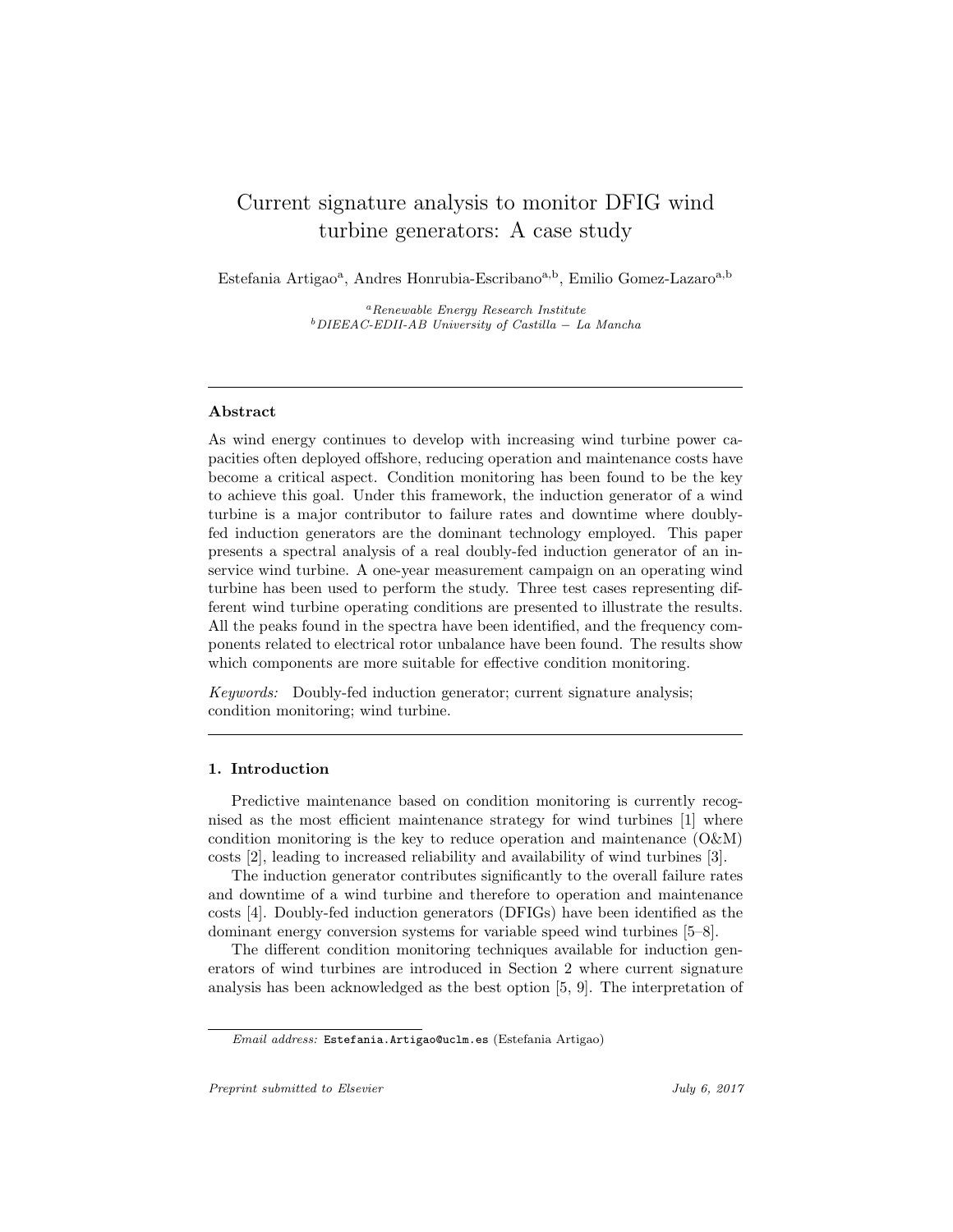# Current signature analysis to monitor DFIG wind turbine generators: A case study

Estefania Artigao<sup>a</sup>, Andres Honrubia-Escribano<sup>a,b</sup>, Emilio Gomez-Lazaro<sup>a,b</sup>

 ${}^a$ Renewable Energy Research Institute  $b$ DIEEAC-EDII-AB University of Castilla – La Mancha

# Abstract

As wind energy continues to develop with increasing wind turbine power capacities often deployed offshore, reducing operation and maintenance costs have become a critical aspect. Condition monitoring has been found to be the key to achieve this goal. Under this framework, the induction generator of a wind turbine is a major contributor to failure rates and downtime where doublyfed induction generators are the dominant technology employed. This paper presents a spectral analysis of a real doubly-fed induction generator of an inservice wind turbine. A one-year measurement campaign on an operating wind turbine has been used to perform the study. Three test cases representing different wind turbine operating conditions are presented to illustrate the results. All the peaks found in the spectra have been identified, and the frequency components related to electrical rotor unbalance have been found. The results show which components are more suitable for effective condition monitoring.

Keywords: Doubly-fed induction generator; current signature analysis; condition monitoring; wind turbine.

# 1. Introduction

Predictive maintenance based on condition monitoring is currently recognised as the most efficient maintenance strategy for wind turbines [1] where condition monitoring is the key to reduce operation and maintenance (O&M) costs [2], leading to increased reliability and availability of wind turbines [3].

The induction generator contributes significantly to the overall failure rates and downtime of a wind turbine and therefore to operation and maintenance costs [4]. Doubly-fed induction generators (DFIGs) have been identified as the dominant energy conversion systems for variable speed wind turbines [5–8].

The different condition monitoring techniques available for induction generators of wind turbines are introduced in Section 2 where current signature analysis has been acknowledged as the best option [5, 9]. The interpretation of

Email address: Estefania.Artigao@uclm.es (Estefania Artigao)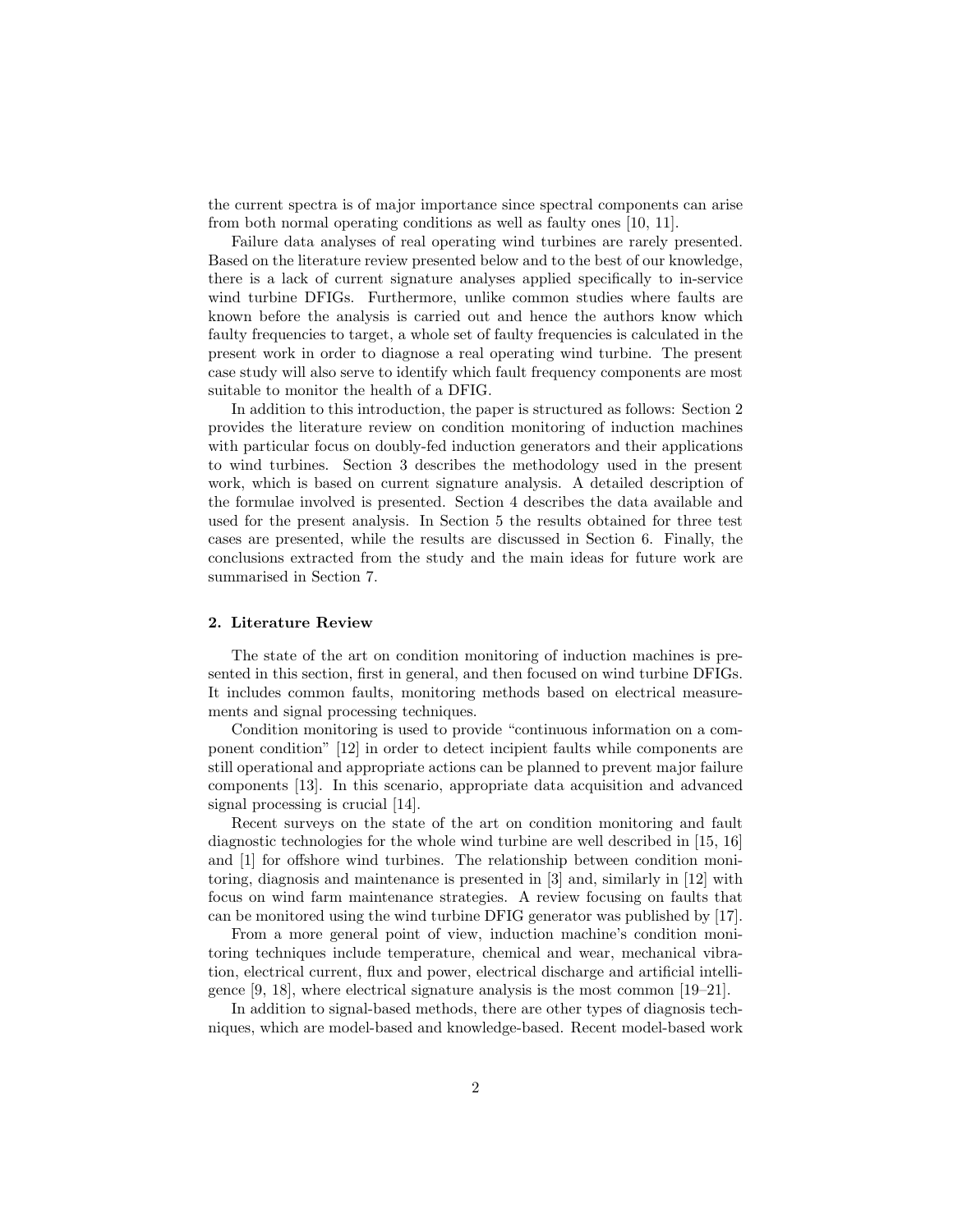the current spectra is of major importance since spectral components can arise from both normal operating conditions as well as faulty ones [10, 11].

Failure data analyses of real operating wind turbines are rarely presented. Based on the literature review presented below and to the best of our knowledge, there is a lack of current signature analyses applied specifically to in-service wind turbine DFIGs. Furthermore, unlike common studies where faults are known before the analysis is carried out and hence the authors know which faulty frequencies to target, a whole set of faulty frequencies is calculated in the present work in order to diagnose a real operating wind turbine. The present case study will also serve to identify which fault frequency components are most suitable to monitor the health of a DFIG.

In addition to this introduction, the paper is structured as follows: Section 2 provides the literature review on condition monitoring of induction machines with particular focus on doubly-fed induction generators and their applications to wind turbines. Section 3 describes the methodology used in the present work, which is based on current signature analysis. A detailed description of the formulae involved is presented. Section 4 describes the data available and used for the present analysis. In Section 5 the results obtained for three test cases are presented, while the results are discussed in Section 6. Finally, the conclusions extracted from the study and the main ideas for future work are summarised in Section 7.

## 2. Literature Review

The state of the art on condition monitoring of induction machines is presented in this section, first in general, and then focused on wind turbine DFIGs. It includes common faults, monitoring methods based on electrical measurements and signal processing techniques.

Condition monitoring is used to provide "continuous information on a component condition" [12] in order to detect incipient faults while components are still operational and appropriate actions can be planned to prevent major failure components [13]. In this scenario, appropriate data acquisition and advanced signal processing is crucial [14].

Recent surveys on the state of the art on condition monitoring and fault diagnostic technologies for the whole wind turbine are well described in [15, 16] and [1] for offshore wind turbines. The relationship between condition monitoring, diagnosis and maintenance is presented in [3] and, similarly in [12] with focus on wind farm maintenance strategies. A review focusing on faults that can be monitored using the wind turbine DFIG generator was published by [17].

From a more general point of view, induction machine's condition monitoring techniques include temperature, chemical and wear, mechanical vibration, electrical current, flux and power, electrical discharge and artificial intelligence [9, 18], where electrical signature analysis is the most common [19–21].

In addition to signal-based methods, there are other types of diagnosis techniques, which are model-based and knowledge-based. Recent model-based work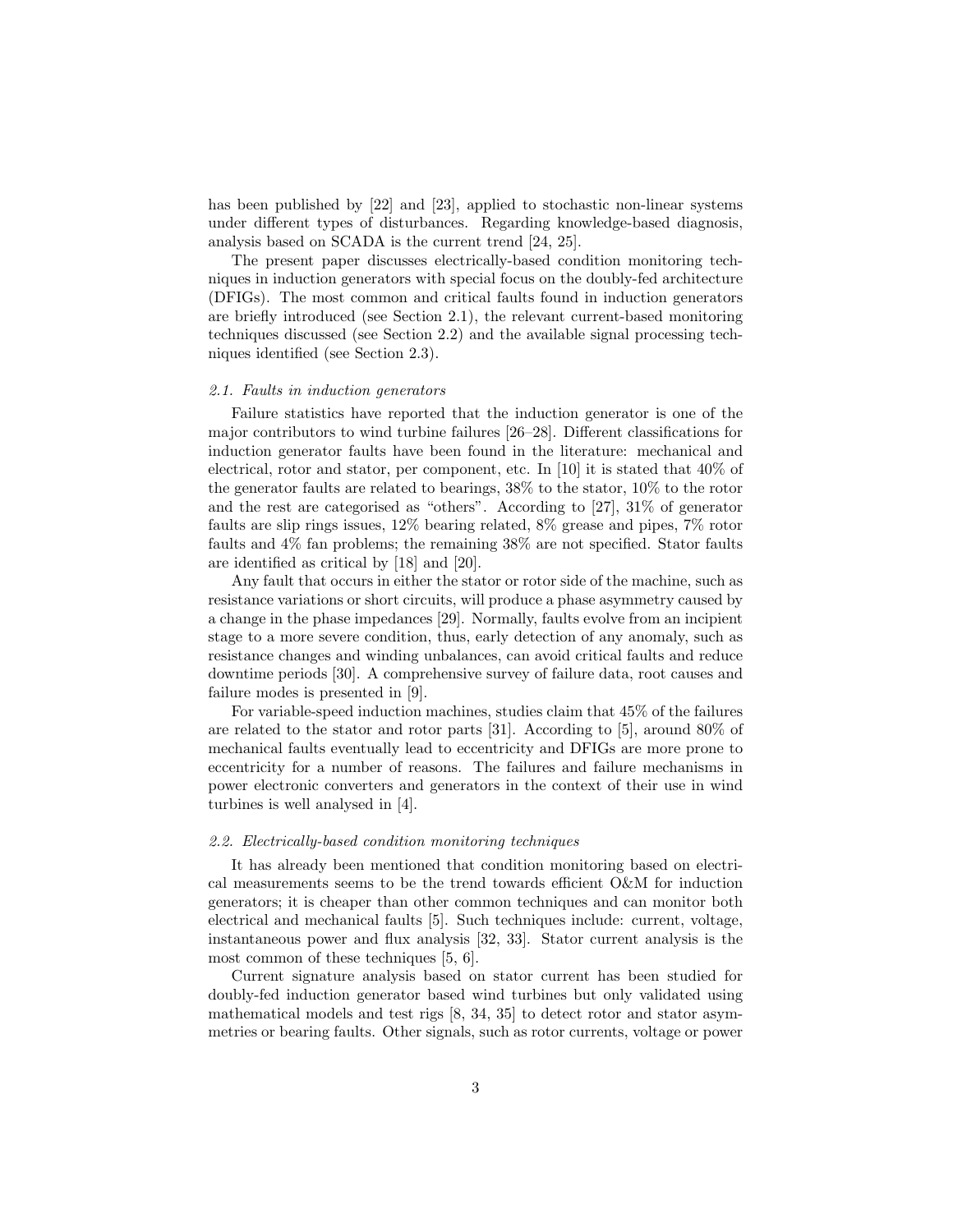has been published by [22] and [23], applied to stochastic non-linear systems under different types of disturbances. Regarding knowledge-based diagnosis, analysis based on SCADA is the current trend [24, 25].

The present paper discusses electrically-based condition monitoring techniques in induction generators with special focus on the doubly-fed architecture (DFIGs). The most common and critical faults found in induction generators are briefly introduced (see Section 2.1), the relevant current-based monitoring techniques discussed (see Section 2.2) and the available signal processing techniques identified (see Section 2.3).

#### 2.1. Faults in induction generators

Failure statistics have reported that the induction generator is one of the major contributors to wind turbine failures [26–28]. Different classifications for induction generator faults have been found in the literature: mechanical and electrical, rotor and stator, per component, etc. In [10] it is stated that 40% of the generator faults are related to bearings, 38% to the stator, 10% to the rotor and the rest are categorised as "others". According to [27], 31% of generator faults are slip rings issues, 12% bearing related, 8% grease and pipes, 7% rotor faults and 4% fan problems; the remaining 38% are not specified. Stator faults are identified as critical by [18] and [20].

Any fault that occurs in either the stator or rotor side of the machine, such as resistance variations or short circuits, will produce a phase asymmetry caused by a change in the phase impedances [29]. Normally, faults evolve from an incipient stage to a more severe condition, thus, early detection of any anomaly, such as resistance changes and winding unbalances, can avoid critical faults and reduce downtime periods [30]. A comprehensive survey of failure data, root causes and failure modes is presented in [9].

For variable-speed induction machines, studies claim that 45% of the failures are related to the stator and rotor parts [31]. According to [5], around 80% of mechanical faults eventually lead to eccentricity and DFIGs are more prone to eccentricity for a number of reasons. The failures and failure mechanisms in power electronic converters and generators in the context of their use in wind turbines is well analysed in [4].

# 2.2. Electrically-based condition monitoring techniques

It has already been mentioned that condition monitoring based on electrical measurements seems to be the trend towards efficient O&M for induction generators; it is cheaper than other common techniques and can monitor both electrical and mechanical faults [5]. Such techniques include: current, voltage, instantaneous power and flux analysis [32, 33]. Stator current analysis is the most common of these techniques [5, 6].

Current signature analysis based on stator current has been studied for doubly-fed induction generator based wind turbines but only validated using mathematical models and test rigs [8, 34, 35] to detect rotor and stator asymmetries or bearing faults. Other signals, such as rotor currents, voltage or power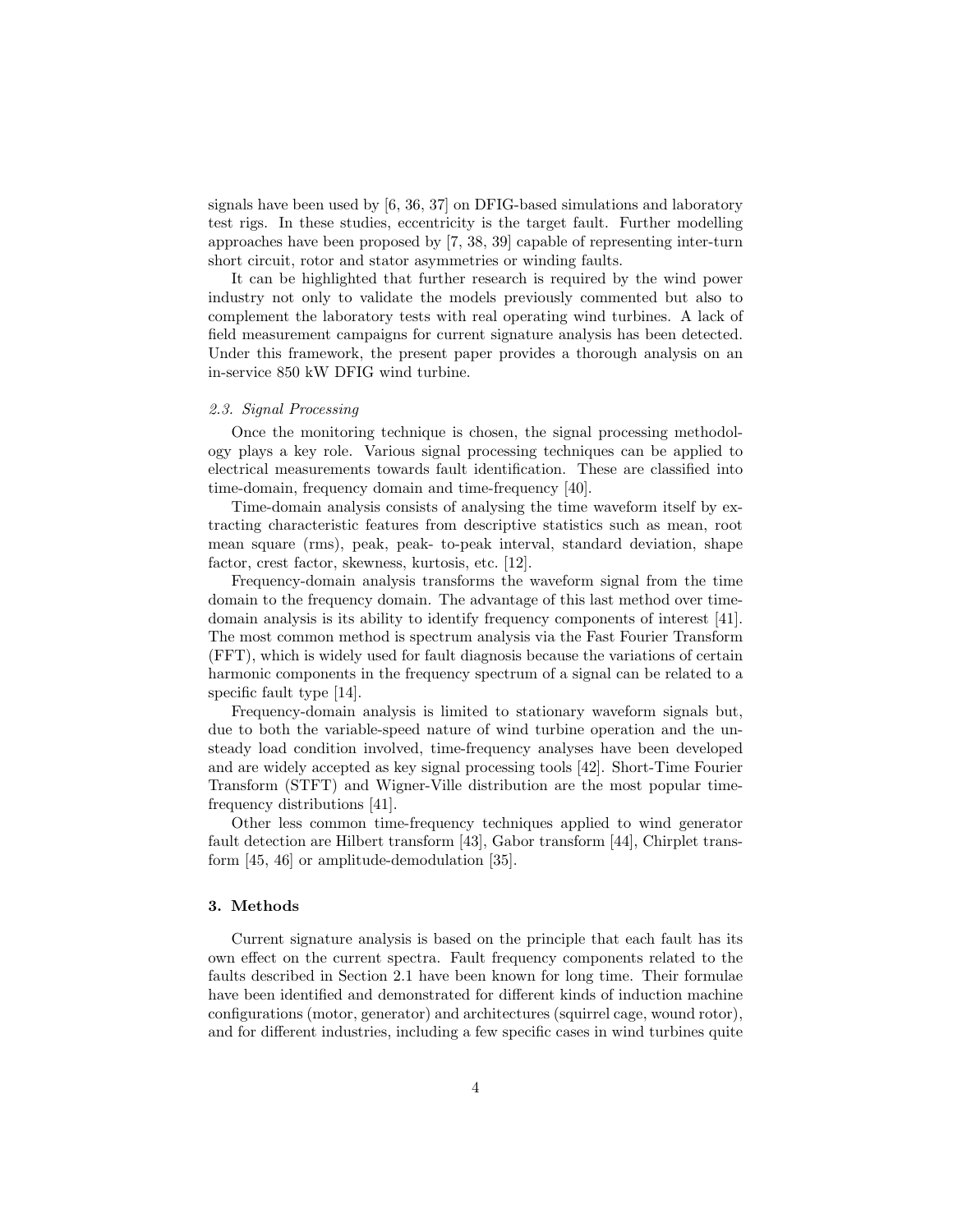signals have been used by [6, 36, 37] on DFIG-based simulations and laboratory test rigs. In these studies, eccentricity is the target fault. Further modelling approaches have been proposed by [7, 38, 39] capable of representing inter-turn short circuit, rotor and stator asymmetries or winding faults.

It can be highlighted that further research is required by the wind power industry not only to validate the models previously commented but also to complement the laboratory tests with real operating wind turbines. A lack of field measurement campaigns for current signature analysis has been detected. Under this framework, the present paper provides a thorough analysis on an in-service 850 kW DFIG wind turbine.

## 2.3. Signal Processing

Once the monitoring technique is chosen, the signal processing methodology plays a key role. Various signal processing techniques can be applied to electrical measurements towards fault identification. These are classified into time-domain, frequency domain and time-frequency [40].

Time-domain analysis consists of analysing the time waveform itself by extracting characteristic features from descriptive statistics such as mean, root mean square (rms), peak, peak- to-peak interval, standard deviation, shape factor, crest factor, skewness, kurtosis, etc. [12].

Frequency-domain analysis transforms the waveform signal from the time domain to the frequency domain. The advantage of this last method over timedomain analysis is its ability to identify frequency components of interest [41]. The most common method is spectrum analysis via the Fast Fourier Transform (FFT), which is widely used for fault diagnosis because the variations of certain harmonic components in the frequency spectrum of a signal can be related to a specific fault type [14].

Frequency-domain analysis is limited to stationary waveform signals but, due to both the variable-speed nature of wind turbine operation and the unsteady load condition involved, time-frequency analyses have been developed and are widely accepted as key signal processing tools [42]. Short-Time Fourier Transform (STFT) and Wigner-Ville distribution are the most popular timefrequency distributions [41].

Other less common time-frequency techniques applied to wind generator fault detection are Hilbert transform [43], Gabor transform [44], Chirplet transform [45, 46] or amplitude-demodulation [35].

# 3. Methods

Current signature analysis is based on the principle that each fault has its own effect on the current spectra. Fault frequency components related to the faults described in Section 2.1 have been known for long time. Their formulae have been identified and demonstrated for different kinds of induction machine configurations (motor, generator) and architectures (squirrel cage, wound rotor), and for different industries, including a few specific cases in wind turbines quite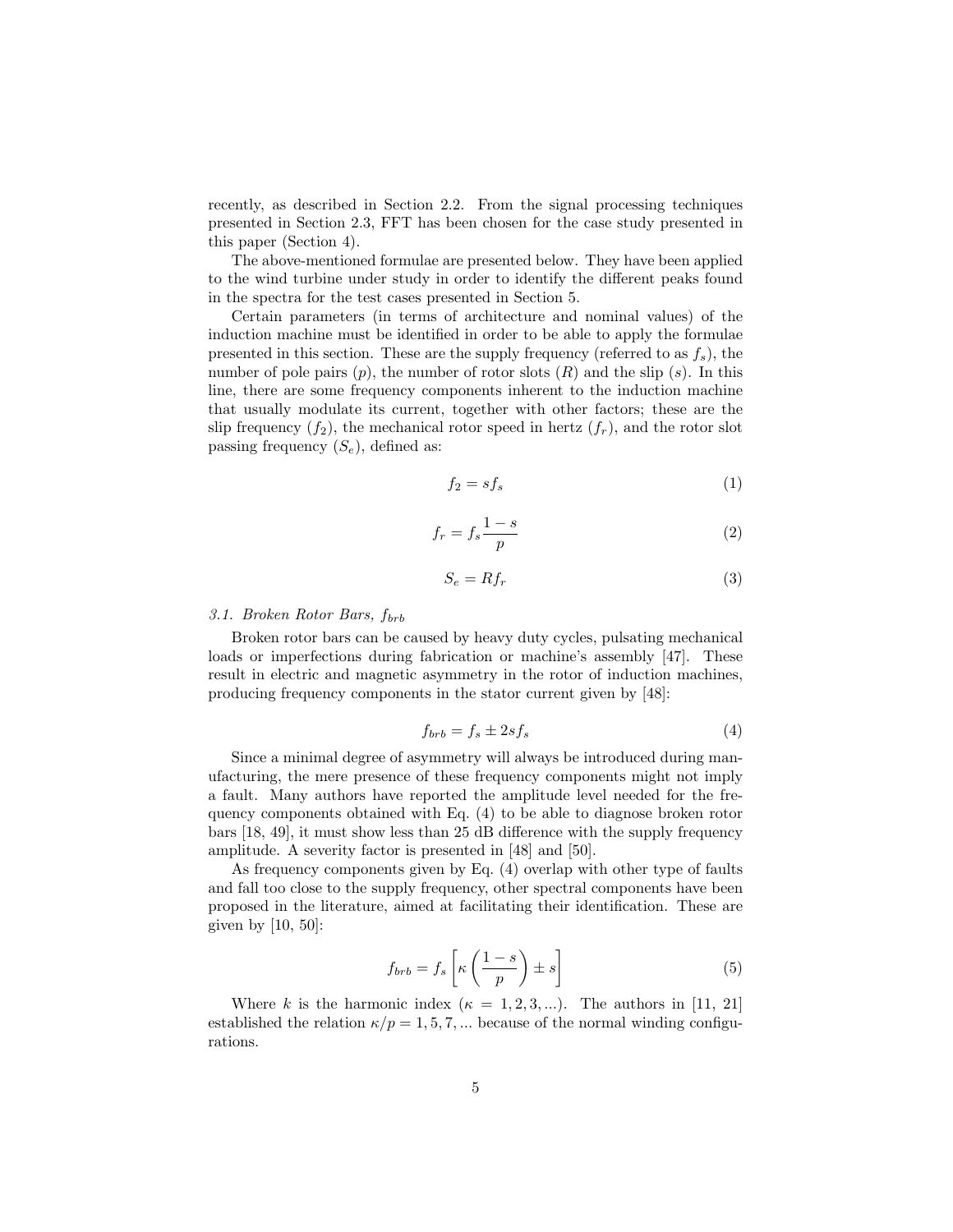recently, as described in Section 2.2. From the signal processing techniques presented in Section 2.3, FFT has been chosen for the case study presented in this paper (Section 4).

The above-mentioned formulae are presented below. They have been applied to the wind turbine under study in order to identify the different peaks found in the spectra for the test cases presented in Section 5.

Certain parameters (in terms of architecture and nominal values) of the induction machine must be identified in order to be able to apply the formulae presented in this section. These are the supply frequency (referred to as  $f_s$ ), the number of pole pairs  $(p)$ , the number of rotor slots  $(R)$  and the slip  $(s)$ . In this line, there are some frequency components inherent to the induction machine that usually modulate its current, together with other factors; these are the slip frequency  $(f_2)$ , the mechanical rotor speed in hertz  $(f_r)$ , and the rotor slot passing frequency  $(S_e)$ , defined as:

$$
f_2 = s f_s \tag{1}
$$

$$
f_r = f_s \frac{1-s}{p} \tag{2}
$$

$$
S_e = Rf_r \tag{3}
$$

# 3.1. Broken Rotor Bars,  $f_{brb}$

Broken rotor bars can be caused by heavy duty cycles, pulsating mechanical loads or imperfections during fabrication or machine's assembly [47]. These result in electric and magnetic asymmetry in the rotor of induction machines, producing frequency components in the stator current given by [48]:

$$
f_{brb} = f_s \pm 2sf_s \tag{4}
$$

Since a minimal degree of asymmetry will always be introduced during manufacturing, the mere presence of these frequency components might not imply a fault. Many authors have reported the amplitude level needed for the frequency components obtained with Eq. (4) to be able to diagnose broken rotor bars [18, 49], it must show less than 25 dB difference with the supply frequency amplitude. A severity factor is presented in [48] and [50].

As frequency components given by Eq. (4) overlap with other type of faults and fall too close to the supply frequency, other spectral components have been proposed in the literature, aimed at facilitating their identification. These are given by [10, 50]:

$$
f_{brb} = f_s \left[ \kappa \left( \frac{1-s}{p} \right) \pm s \right] \tag{5}
$$

Where k is the harmonic index  $(\kappa = 1, 2, 3, ...)$ . The authors in [11, 21] established the relation  $\kappa/p = 1, 5, 7, \dots$  because of the normal winding configurations.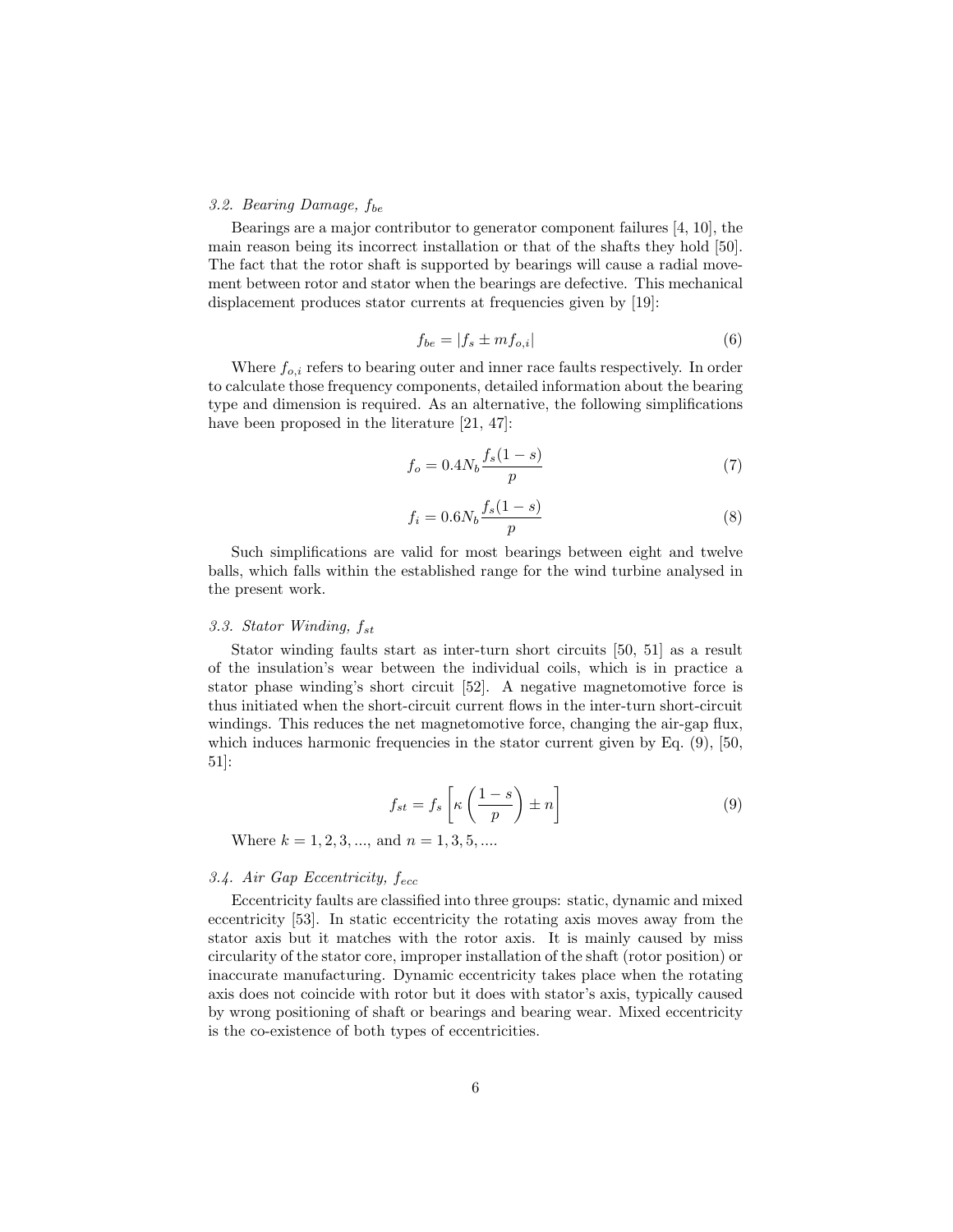# 3.2. Bearing Damage,  $f_{be}$

Bearings are a major contributor to generator component failures [4, 10], the main reason being its incorrect installation or that of the shafts they hold [50]. The fact that the rotor shaft is supported by bearings will cause a radial movement between rotor and stator when the bearings are defective. This mechanical displacement produces stator currents at frequencies given by [19]:

$$
f_{be} = |f_s \pm mf_{o,i}| \tag{6}
$$

Where  $f_{o,i}$  refers to bearing outer and inner race faults respectively. In order to calculate those frequency components, detailed information about the bearing type and dimension is required. As an alternative, the following simplifications have been proposed in the literature [21, 47]:

$$
f_o = 0.4N_b \frac{f_s(1-s)}{p} \tag{7}
$$

$$
f_i = 0.6N_b \frac{f_s(1-s)}{p} \tag{8}
$$

Such simplifications are valid for most bearings between eight and twelve balls, which falls within the established range for the wind turbine analysed in the present work.

# 3.3. Stator Winding,  $f_{st}$

Stator winding faults start as inter-turn short circuits [50, 51] as a result of the insulation's wear between the individual coils, which is in practice a stator phase winding's short circuit [52]. A negative magnetomotive force is thus initiated when the short-circuit current flows in the inter-turn short-circuit windings. This reduces the net magnetomotive force, changing the air-gap flux, which induces harmonic frequencies in the stator current given by Eq.  $(9)$ ,  $[50, 10]$ 51]:

$$
f_{st} = f_s \left[ \kappa \left( \frac{1-s}{p} \right) \pm n \right] \tag{9}
$$

Where  $k = 1, 2, 3, \dots$ , and  $n = 1, 3, 5, \dots$ 

# 3.4. Air Gap Eccentricity,  $f_{ecc}$

Eccentricity faults are classified into three groups: static, dynamic and mixed eccentricity [53]. In static eccentricity the rotating axis moves away from the stator axis but it matches with the rotor axis. It is mainly caused by miss circularity of the stator core, improper installation of the shaft (rotor position) or inaccurate manufacturing. Dynamic eccentricity takes place when the rotating axis does not coincide with rotor but it does with stator's axis, typically caused by wrong positioning of shaft or bearings and bearing wear. Mixed eccentricity is the co-existence of both types of eccentricities.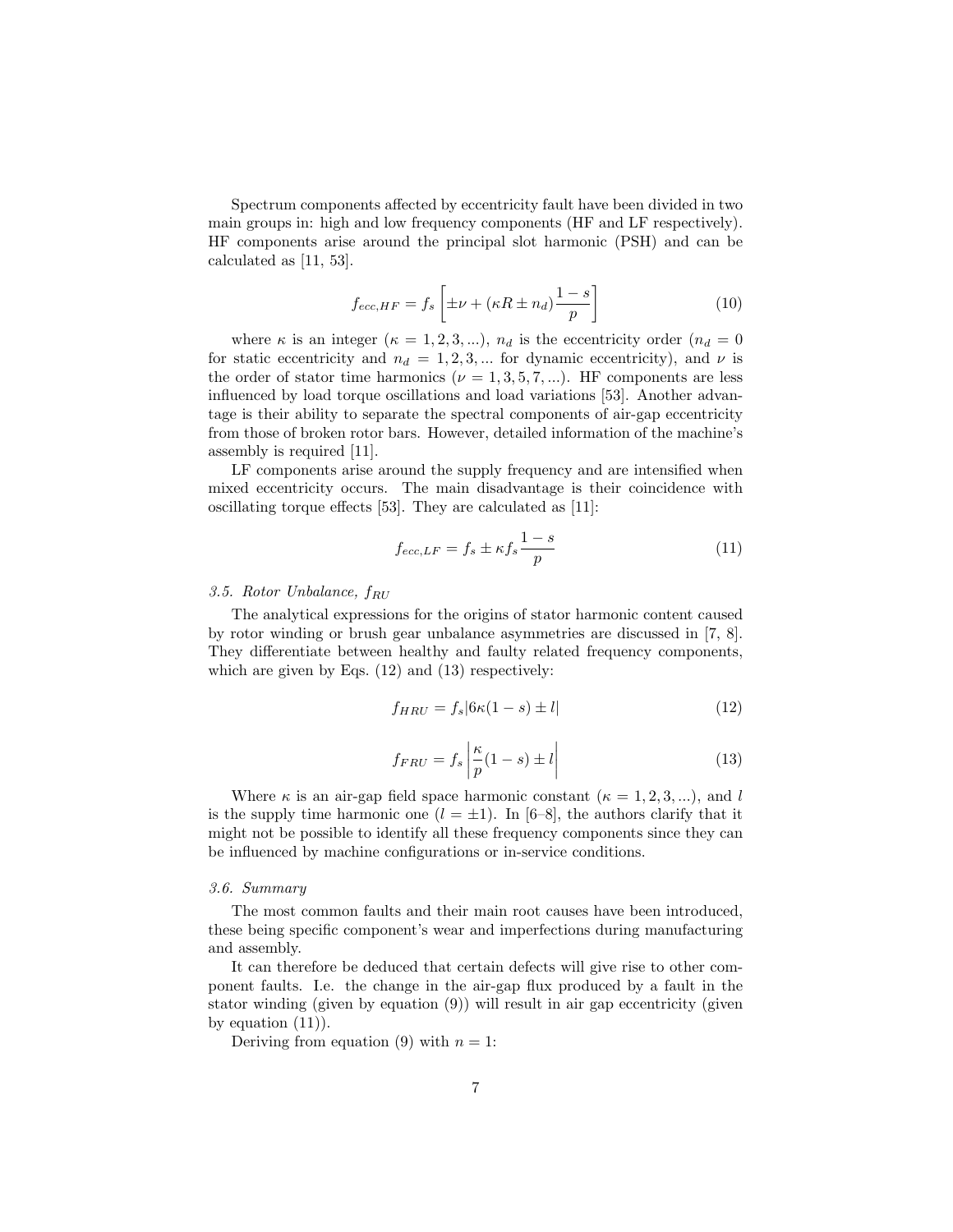Spectrum components affected by eccentricity fault have been divided in two main groups in: high and low frequency components (HF and LF respectively). HF components arise around the principal slot harmonic (PSH) and can be calculated as [11, 53].

$$
f_{ecc, HF} = f_s \left[ \pm \nu + (\kappa R \pm n_d) \frac{1 - s}{p} \right]
$$
 (10)

where  $\kappa$  is an integer  $(\kappa = 1, 2, 3, ...)$ ,  $n_d$  is the eccentricity order  $(n_d = 0)$ for static eccentricity and  $n_d = 1, 2, 3, ...$  for dynamic eccentricity), and  $\nu$  is the order of stator time harmonics ( $\nu = 1, 3, 5, 7, ...$ ). HF components are less influenced by load torque oscillations and load variations [53]. Another advantage is their ability to separate the spectral components of air-gap eccentricity from those of broken rotor bars. However, detailed information of the machine's assembly is required [11].

LF components arise around the supply frequency and are intensified when mixed eccentricity occurs. The main disadvantage is their coincidence with oscillating torque effects [53]. They are calculated as [11]:

$$
f_{ecc,LF} = f_s \pm \kappa f_s \frac{1-s}{p} \tag{11}
$$

# 3.5. Rotor Unbalance,  $f_{RU}$

The analytical expressions for the origins of stator harmonic content caused by rotor winding or brush gear unbalance asymmetries are discussed in [7, 8]. They differentiate between healthy and faulty related frequency components, which are given by Eqs. (12) and (13) respectively:

$$
f_{HRU} = f_s | 6\kappa (1 - s) \pm l| \tag{12}
$$

$$
f_{FRU} = f_s \left| \frac{\kappa}{p} (1 - s) \pm l \right| \tag{13}
$$

Where  $\kappa$  is an air-gap field space harmonic constant  $(\kappa = 1, 2, 3, ...)$ , and l is the supply time harmonic one  $(l = \pm 1)$ . In [6–8], the authors clarify that it might not be possible to identify all these frequency components since they can be influenced by machine configurations or in-service conditions.

#### 3.6. Summary

The most common faults and their main root causes have been introduced, these being specific component's wear and imperfections during manufacturing and assembly.

It can therefore be deduced that certain defects will give rise to other component faults. I.e. the change in the air-gap flux produced by a fault in the stator winding (given by equation (9)) will result in air gap eccentricity (given by equation  $(11)$ ).

Deriving from equation (9) with  $n = 1$ :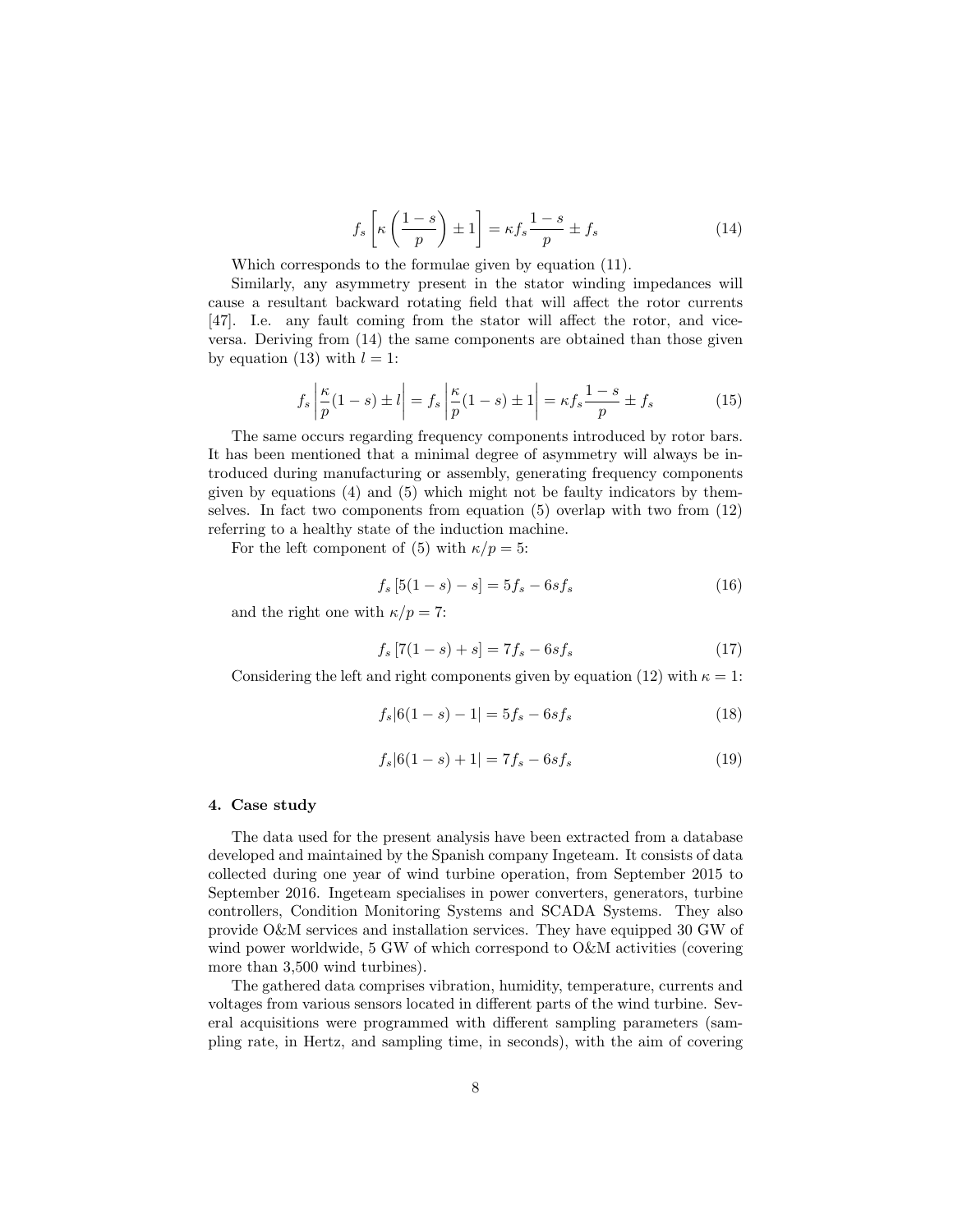$$
f_s\left[\kappa\left(\frac{1-s}{p}\right) \pm 1\right] = \kappa f_s \frac{1-s}{p} \pm f_s \tag{14}
$$

Which corresponds to the formulae given by equation (11).

Similarly, any asymmetry present in the stator winding impedances will cause a resultant backward rotating field that will affect the rotor currents [47]. I.e. any fault coming from the stator will affect the rotor, and viceversa. Deriving from (14) the same components are obtained than those given by equation (13) with  $l = 1$ :

$$
f_s \left| \frac{\kappa}{p} (1 - s) \pm l \right| = f_s \left| \frac{\kappa}{p} (1 - s) \pm 1 \right| = \kappa f_s \frac{1 - s}{p} \pm f_s \tag{15}
$$

The same occurs regarding frequency components introduced by rotor bars. It has been mentioned that a minimal degree of asymmetry will always be introduced during manufacturing or assembly, generating frequency components given by equations  $(4)$  and  $(5)$  which might not be faulty indicators by themselves. In fact two components from equation (5) overlap with two from (12) referring to a healthy state of the induction machine.

For the left component of (5) with  $\kappa/p = 5$ :

$$
f_s [5(1 - s) - s] = 5f_s - 6sf_s
$$
\n(16)

and the right one with  $\kappa/p = 7$ :

$$
f_s [7(1 - s) + s] = 7f_s - 6sf_s
$$
\n(17)

Considering the left and right components given by equation (12) with  $\kappa = 1$ :

$$
f_s|6(1-s) - 1| = 5f_s - 6sf_s
$$
\n(18)

$$
f_s|6(1-s) + 1| = 7f_s - 6sf_s
$$
\n(19)

## 4. Case study

The data used for the present analysis have been extracted from a database developed and maintained by the Spanish company Ingeteam. It consists of data collected during one year of wind turbine operation, from September 2015 to September 2016. Ingeteam specialises in power converters, generators, turbine controllers, Condition Monitoring Systems and SCADA Systems. They also provide O&M services and installation services. They have equipped 30 GW of wind power worldwide, 5 GW of which correspond to O&M activities (covering more than 3,500 wind turbines).

The gathered data comprises vibration, humidity, temperature, currents and voltages from various sensors located in different parts of the wind turbine. Several acquisitions were programmed with different sampling parameters (sampling rate, in Hertz, and sampling time, in seconds), with the aim of covering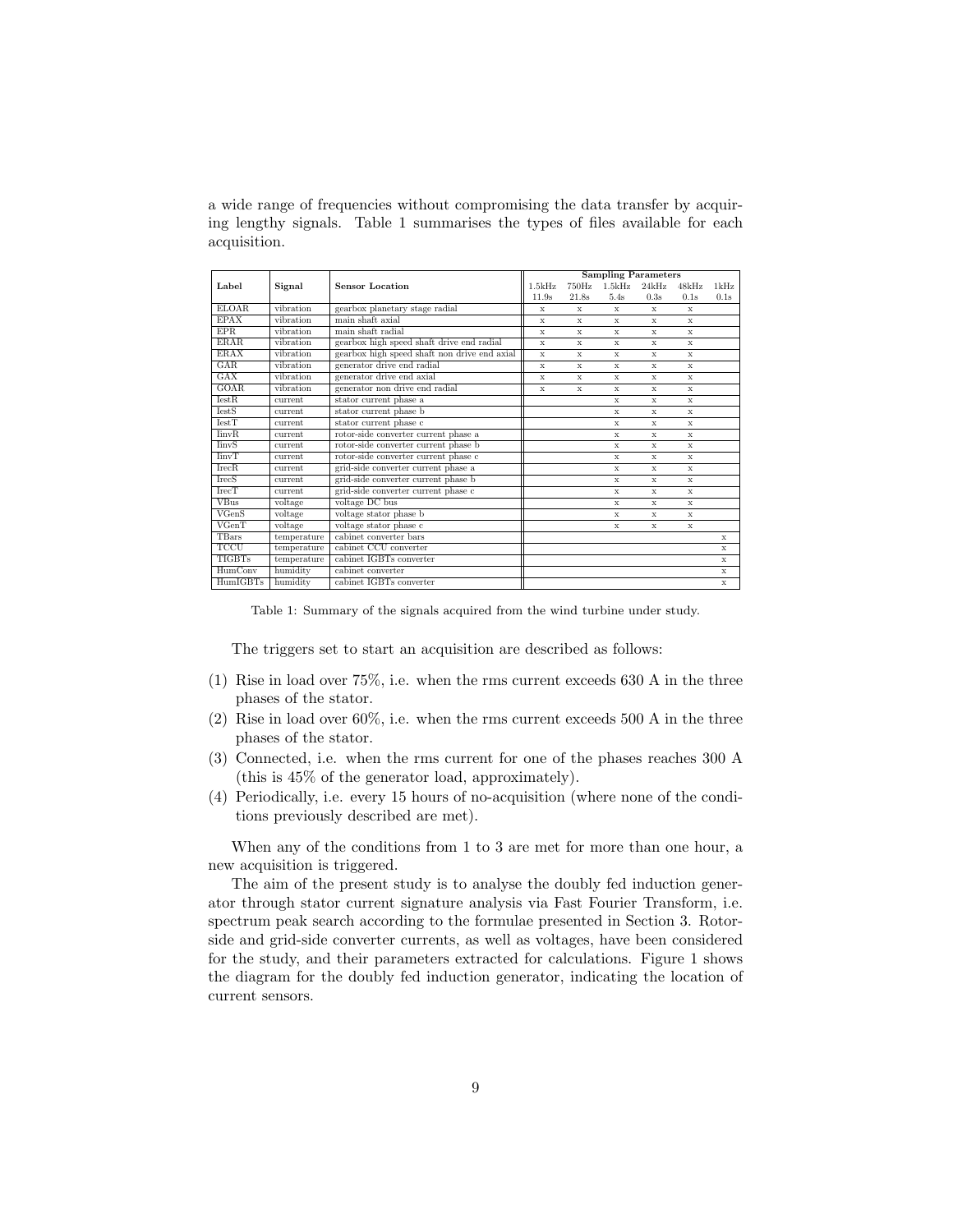a wide range of frequencies without compromising the data transfer by acquiring lengthy signals. Table 1 summarises the types of files available for each acquisition.

|               |             |                                              |             | <b>Sampling Parameters</b> |                   |             |             |              |
|---------------|-------------|----------------------------------------------|-------------|----------------------------|-------------------|-------------|-------------|--------------|
| Label         | Signal      | <b>Sensor Location</b>                       | 1.5kHz      | 750Hz                      | $1.5\mathrm{kHz}$ | 24kHz       | 48kHz       | 1kHz         |
|               |             |                                              | 11.9s       | 21.8s                      | 5.4s              | 0.3s        | 0.1s        | 0.1s         |
| <b>ELOAR</b>  | vibration   | gearbox planetary stage radial               | $\mathbf x$ | X                          | X                 | $\mathbf x$ | $\mathbf x$ |              |
| <b>EPAX</b>   | vibration   | main shaft axial                             | $\mathbf x$ | X                          | X                 | X           | X           |              |
| <b>EPR</b>    | vibration   | main shaft radial                            | X           | X                          | X                 | X           | X           |              |
| <b>ERAR</b>   | vibration   | gearbox high speed shaft drive end radial    | $\mathbf x$ | X                          | $\mathbf x$       | $\mathbf x$ | X           |              |
| <b>ERAX</b>   | vibration   | gearbox high speed shaft non drive end axial | $\mathbf x$ | X                          | X                 | X           | X           |              |
| GAR           | vibration   | generator drive end radial                   | $\mathbf x$ | X                          | X                 | X           | X           |              |
| GAX           | vibration   | generator drive end axial                    | $\mathbf x$ | X                          | $\mathbf x$       | $\mathbf x$ | $\mathbf x$ |              |
| <b>GOAR</b>   | vibration   | generator non drive end radial               | X           | X                          | X                 | X           | X           |              |
| TestR         | current.    | stator current phase a                       |             |                            | X                 | X           | X           |              |
| <b>IestS</b>  | current     | stator current phase b                       |             |                            | X                 | X           | X           |              |
| TestT         | current     | stator current phase c                       |             |                            | X                 | X           | X           |              |
| <b>IinvR</b>  | current     | rotor-side converter current phase a         |             |                            | X                 | $\mathbf x$ | $\mathbf x$ |              |
| <b>IinvS</b>  | current     | rotor-side converter current phase b         |             |                            | X                 | X           | X           |              |
| <b>IinvT</b>  | current     | rotor-side converter current phase c         |             |                            | $\mathbf x$       | X           | X           |              |
| <b>IrecR</b>  | current     | grid-side converter current phase a          |             |                            | X                 | X           | X           |              |
| <b>IrecS</b>  | current.    | grid-side converter current phase b          |             |                            | X                 | X           | X           |              |
| TrecT         | current     | grid-side converter current phase c          |             |                            | X                 | X           | X           |              |
| <b>VBus</b>   | voltage     | voltage DC bus                               |             |                            | $\mathbf{x}$      | $\mathbf x$ | $\mathbf x$ |              |
| VGenS         | voltage     | voltage stator phase b                       |             |                            | X                 | X           | X           |              |
| VGenT         | voltage     | voltage stator phase c                       |             |                            | X                 | X           | X           |              |
| <b>TBars</b>  | temperature | cabinet converter bars                       |             |                            |                   |             |             | $\mathbf{x}$ |
| TCCU          | temperature | cabinet CCU converter                        |             |                            |                   |             |             | X            |
| <b>TIGBTs</b> | temperature | cabinet IGBTs converter                      |             |                            |                   |             |             | X            |
| HumConv       | humidity    | cabinet converter                            |             |                            |                   |             |             | X            |
| HumIGBTs      | humidity    | cabinet IGBTs converter                      |             |                            |                   |             |             | $\mathbf x$  |

Table 1: Summary of the signals acquired from the wind turbine under study.

The triggers set to start an acquisition are described as follows:

- (1) Rise in load over 75%, i.e. when the rms current exceeds 630 A in the three phases of the stator.
- (2) Rise in load over 60%, i.e. when the rms current exceeds 500 A in the three phases of the stator.
- (3) Connected, i.e. when the rms current for one of the phases reaches 300 A (this is 45% of the generator load, approximately).
- (4) Periodically, i.e. every 15 hours of no-acquisition (where none of the conditions previously described are met).

When any of the conditions from 1 to 3 are met for more than one hour, a new acquisition is triggered.

The aim of the present study is to analyse the doubly fed induction generator through stator current signature analysis via Fast Fourier Transform, i.e. spectrum peak search according to the formulae presented in Section 3. Rotorside and grid-side converter currents, as well as voltages, have been considered for the study, and their parameters extracted for calculations. Figure 1 shows the diagram for the doubly fed induction generator, indicating the location of current sensors.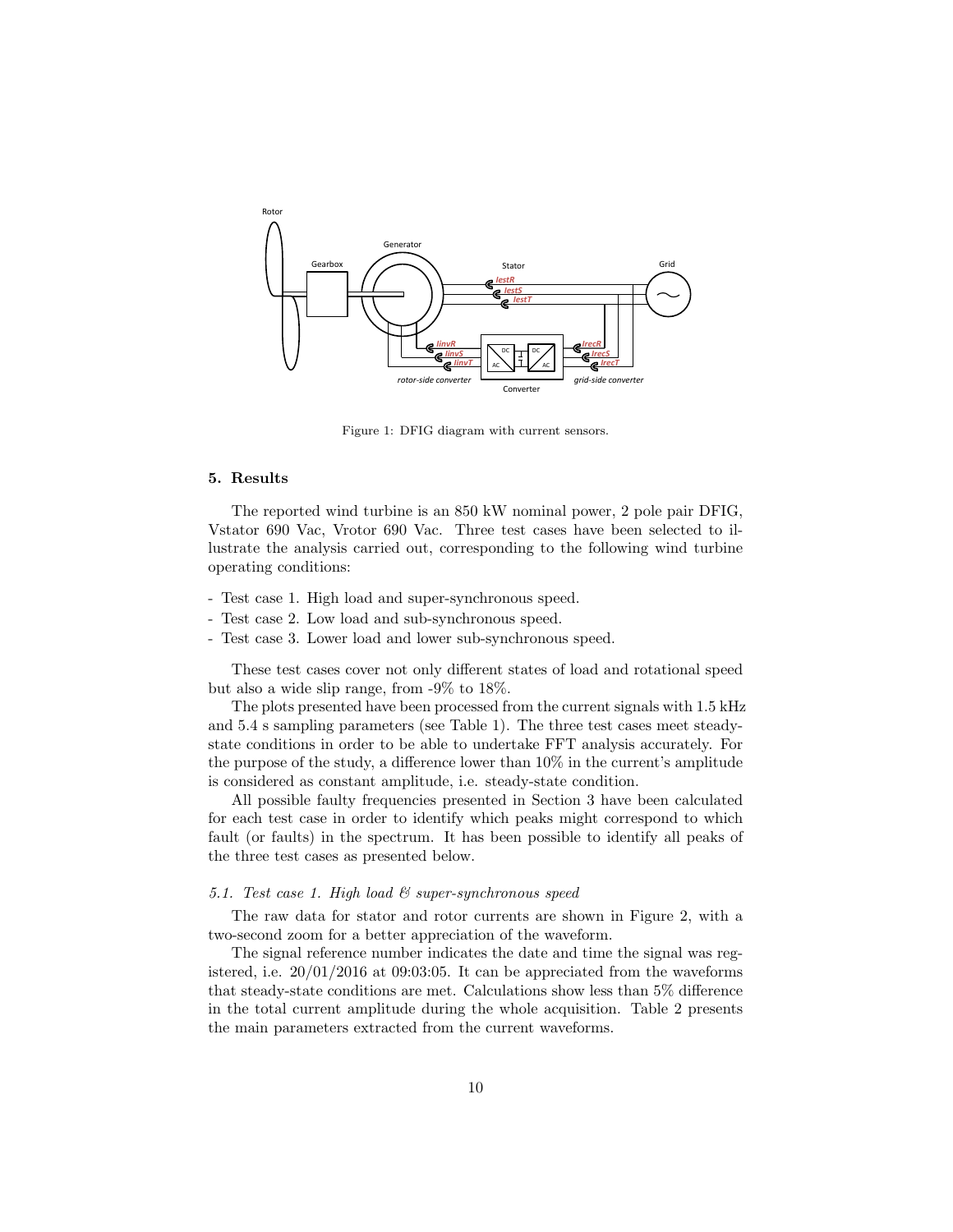

Figure 1: DFIG diagram with current sensors.

# 5. Results

The reported wind turbine is an 850 kW nominal power, 2 pole pair DFIG, Vstator 690 Vac, Vrotor 690 Vac. Three test cases have been selected to illustrate the analysis carried out, corresponding to the following wind turbine operating conditions:

- Test case 1. High load and super-synchronous speed.
- Test case 2. Low load and sub-synchronous speed.
- Test case 3. Lower load and lower sub-synchronous speed.

These test cases cover not only different states of load and rotational speed but also a wide slip range, from -9% to 18%.

The plots presented have been processed from the current signals with 1.5 kHz and 5.4 s sampling parameters (see Table 1). The three test cases meet steadystate conditions in order to be able to undertake FFT analysis accurately. For the purpose of the study, a difference lower than 10% in the current's amplitude is considered as constant amplitude, i.e. steady-state condition.

All possible faulty frequencies presented in Section 3 have been calculated for each test case in order to identify which peaks might correspond to which fault (or faults) in the spectrum. It has been possible to identify all peaks of the three test cases as presented below.

# 5.1. Test case 1. High load  $\mathcal C$  super-synchronous speed

The raw data for stator and rotor currents are shown in Figure 2, with a two-second zoom for a better appreciation of the waveform.

The signal reference number indicates the date and time the signal was registered, i.e. 20/01/2016 at 09:03:05. It can be appreciated from the waveforms that steady-state conditions are met. Calculations show less than 5% difference in the total current amplitude during the whole acquisition. Table 2 presents the main parameters extracted from the current waveforms.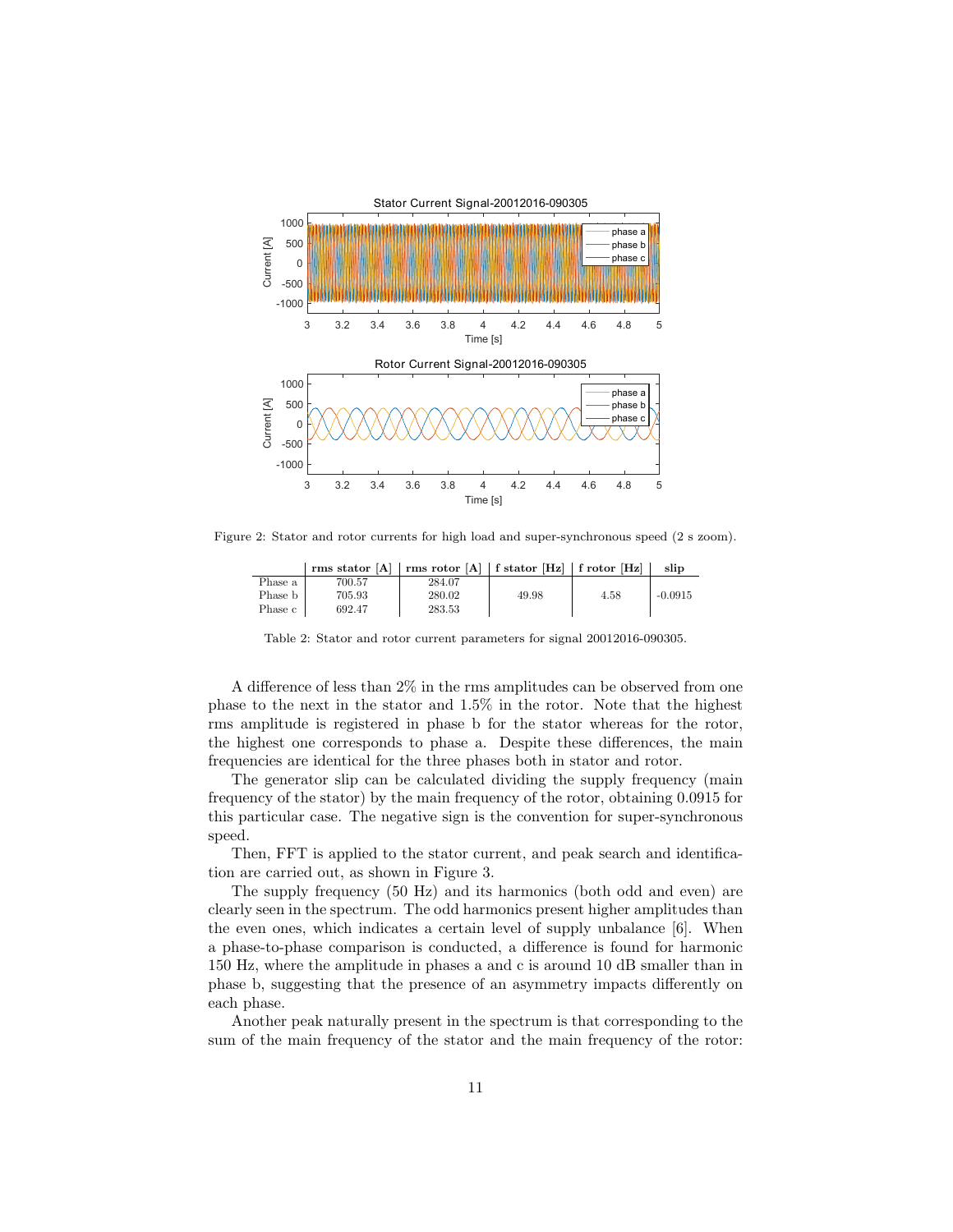

Figure 2: Stator and rotor currents for high load and super-synchronous speed (2 s zoom).

|         | rms stator [A]   rms rotor [A]   f stator [Hz]   f rotor [Hz] |        |       |      | slip      |
|---------|---------------------------------------------------------------|--------|-------|------|-----------|
| Phase a | 700.57                                                        | 284.07 |       |      |           |
| Phase b | 705.93                                                        | 280.02 | 49.98 | 4.58 | $-0.0915$ |
| Phase c | 692.47                                                        | 283.53 |       |      |           |

Table 2: Stator and rotor current parameters for signal 20012016-090305.

A difference of less than 2% in the rms amplitudes can be observed from one phase to the next in the stator and 1.5% in the rotor. Note that the highest rms amplitude is registered in phase b for the stator whereas for the rotor, the highest one corresponds to phase a. Despite these differences, the main frequencies are identical for the three phases both in stator and rotor.

The generator slip can be calculated dividing the supply frequency (main frequency of the stator) by the main frequency of the rotor, obtaining 0.0915 for this particular case. The negative sign is the convention for super-synchronous speed.

Then, FFT is applied to the stator current, and peak search and identification are carried out, as shown in Figure 3.

The supply frequency (50 Hz) and its harmonics (both odd and even) are clearly seen in the spectrum. The odd harmonics present higher amplitudes than the even ones, which indicates a certain level of supply unbalance [6]. When a phase-to-phase comparison is conducted, a difference is found for harmonic 150 Hz, where the amplitude in phases a and c is around 10 dB smaller than in phase b, suggesting that the presence of an asymmetry impacts differently on each phase.

Another peak naturally present in the spectrum is that corresponding to the sum of the main frequency of the stator and the main frequency of the rotor: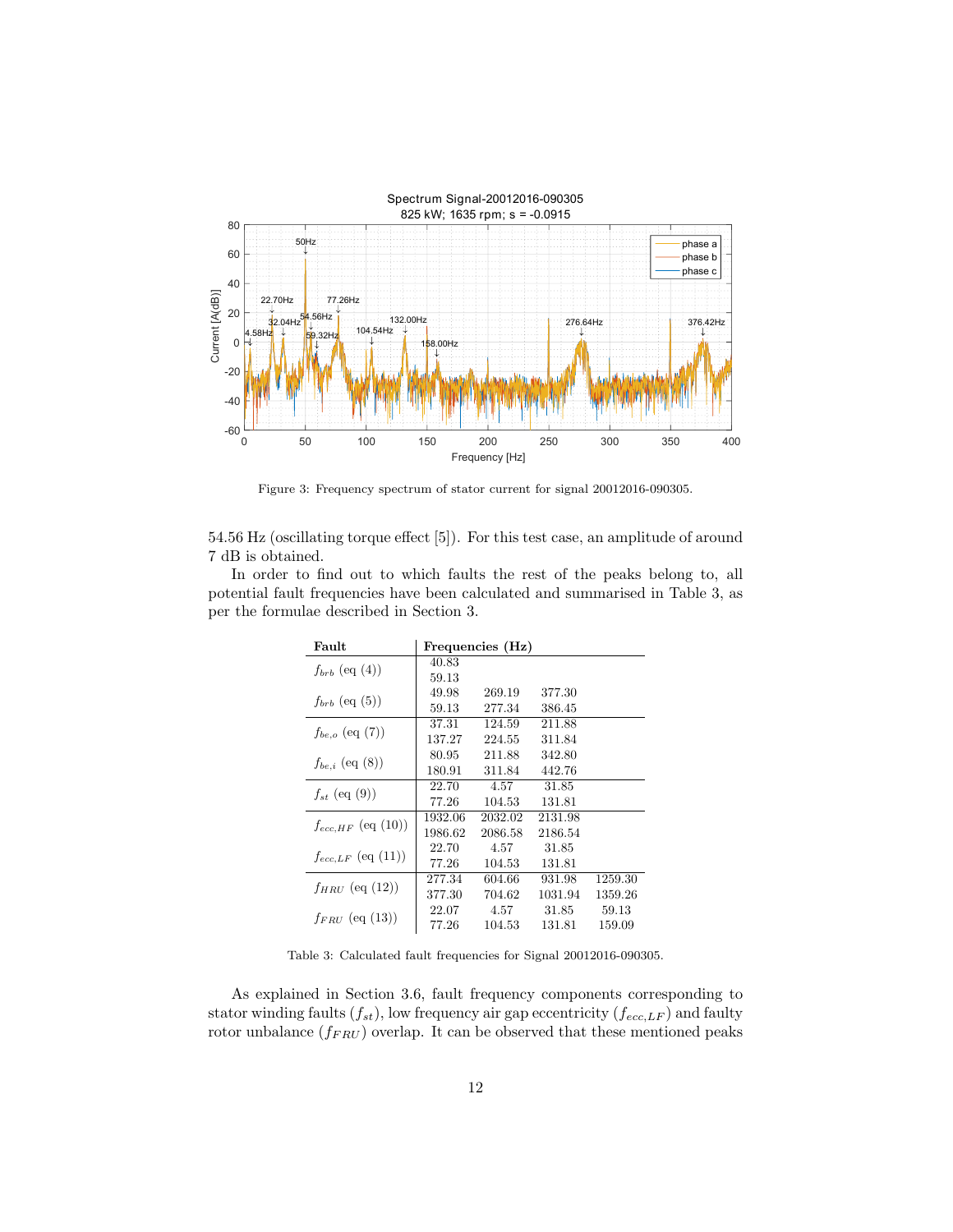

Figure 3: Frequency spectrum of stator current for signal 20012016-090305.

54.56 Hz (oscillating torque effect [5]). For this test case, an amplitude of around 7 dB is obtained.

In order to find out to which faults the rest of the peaks belong to, all potential fault frequencies have been calculated and summarised in Table 3, as per the formulae described in Section 3.

| Fault                   |         | Frequencies (Hz) |         |         |
|-------------------------|---------|------------------|---------|---------|
| $f_{brb}$ (eq (4))      | 40.83   |                  |         |         |
|                         | 59.13   |                  |         |         |
| $f_{brb}$ (eq. (5))     | 49.98   | 269.19           | 377.30  |         |
|                         | 59.13   | 277.34           | 386.45  |         |
| $f_{be,o}$ (eq (7))     | 37.31   | 124.59           | 211.88  |         |
|                         | 137.27  | 224.55           | 311.84  |         |
| $f_{be,i}$ (eq (8))     | 80.95   | 211.88           | 342.80  |         |
|                         | 180.91  | 311.84           | 442.76  |         |
| $f_{st}$ (eq (9))       | 22.70   | 4.57             | 31.85   |         |
|                         | 77.26   | 104.53           | 131.81  |         |
| $f_{ecc, HF}$ (eq (10)) | 1932.06 | 2032.02          | 2131.98 |         |
|                         | 1986.62 | 2086.58          | 2186.54 |         |
| $f_{ecc,LF}$ (eq (11))  | 22.70   | 4.57             | 31.85   |         |
|                         | 77.26   | 104.53           | 131.81  |         |
| $f_{HRU}$ (eq (12))     | 277.34  | 604.66           | 931.98  | 1259.30 |
|                         | 377.30  | 704.62           | 1031.94 | 1359.26 |
| $f_{FRIJ}$ (eq (13))    | 22.07   | 4.57             | 31.85   | 59.13   |
|                         | 77.26   | 104.53           | 131.81  | 159.09  |

Table 3: Calculated fault frequencies for Signal 20012016-090305.

As explained in Section 3.6, fault frequency components corresponding to stator winding faults  $(f_{st})$ , low frequency air gap eccentricity  $(f_{ecc,LF})$  and faulty rotor unbalance  $(f_{FRU})$  overlap. It can be observed that these mentioned peaks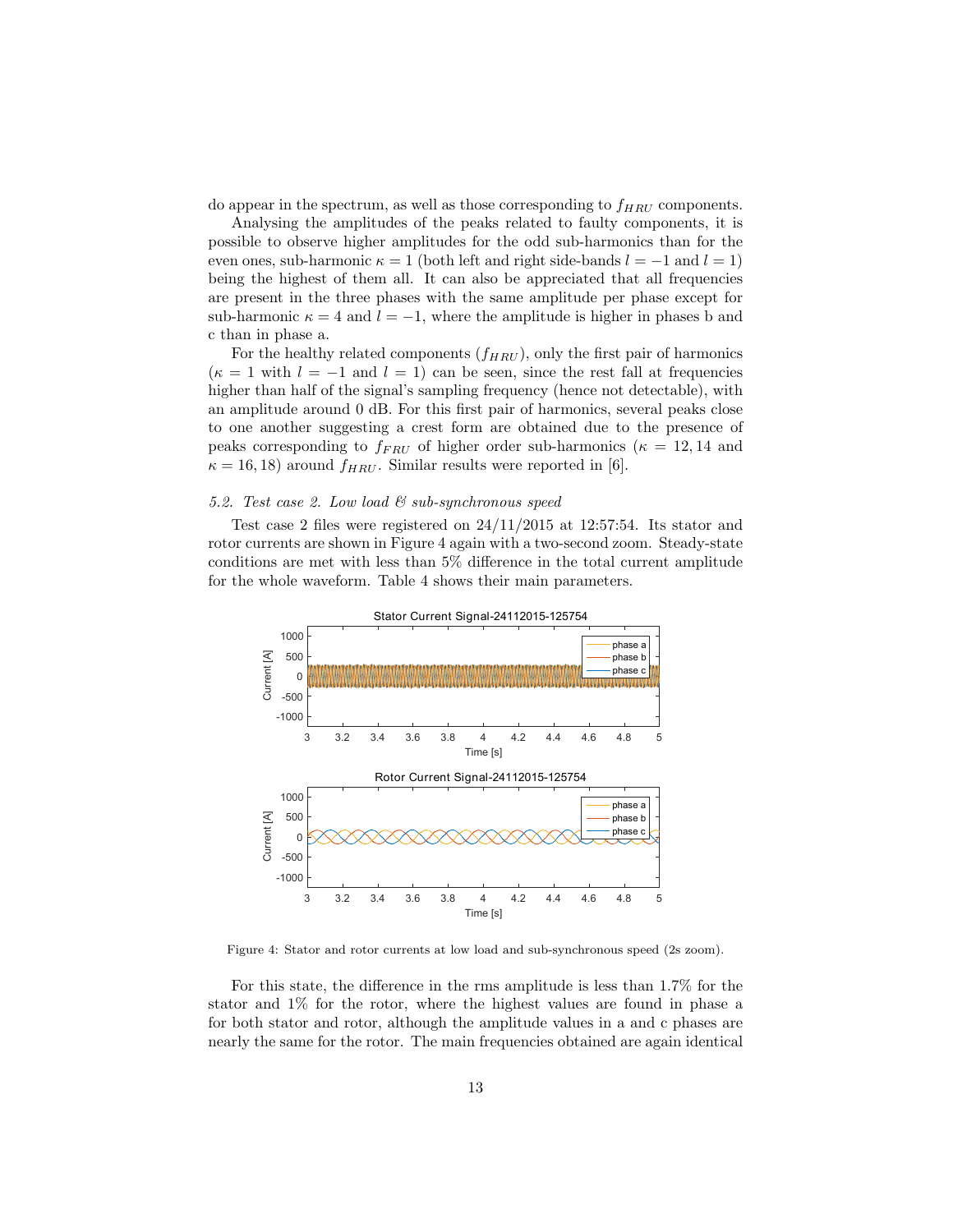do appear in the spectrum, as well as those corresponding to  $f_{HRU}$  components.

Analysing the amplitudes of the peaks related to faulty components, it is possible to observe higher amplitudes for the odd sub-harmonics than for the even ones, sub-harmonic  $\kappa = 1$  (both left and right side-bands  $l = -1$  and  $l = 1$ ) being the highest of them all. It can also be appreciated that all frequencies are present in the three phases with the same amplitude per phase except for sub-harmonic  $\kappa = 4$  and  $l = -1$ , where the amplitude is higher in phases b and c than in phase a.

For the healthy related components  $(f_{HRU})$ , only the first pair of harmonics  $(\kappa = 1$  with  $l = -1$  and  $l = 1$ ) can be seen, since the rest fall at frequencies higher than half of the signal's sampling frequency (hence not detectable), with an amplitude around 0 dB. For this first pair of harmonics, several peaks close to one another suggesting a crest form are obtained due to the presence of peaks corresponding to  $f_{FRU}$  of higher order sub-harmonics ( $\kappa = 12, 14$  and  $\kappa = 16, 18$ ) around  $f_{HRU}$ . Similar results were reported in [6].

## 5.2. Test case 2. Low load  $\mathcal C$  sub-synchronous speed

Test case 2 files were registered on  $24/11/2015$  at 12:57:54. Its stator and rotor currents are shown in Figure 4 again with a two-second zoom. Steady-state conditions are met with less than 5% difference in the total current amplitude for the whole waveform. Table 4 shows their main parameters.



Figure 4: Stator and rotor currents at low load and sub-synchronous speed (2s zoom).

For this state, the difference in the rms amplitude is less than 1.7% for the stator and 1% for the rotor, where the highest values are found in phase a for both stator and rotor, although the amplitude values in a and c phases are nearly the same for the rotor. The main frequencies obtained are again identical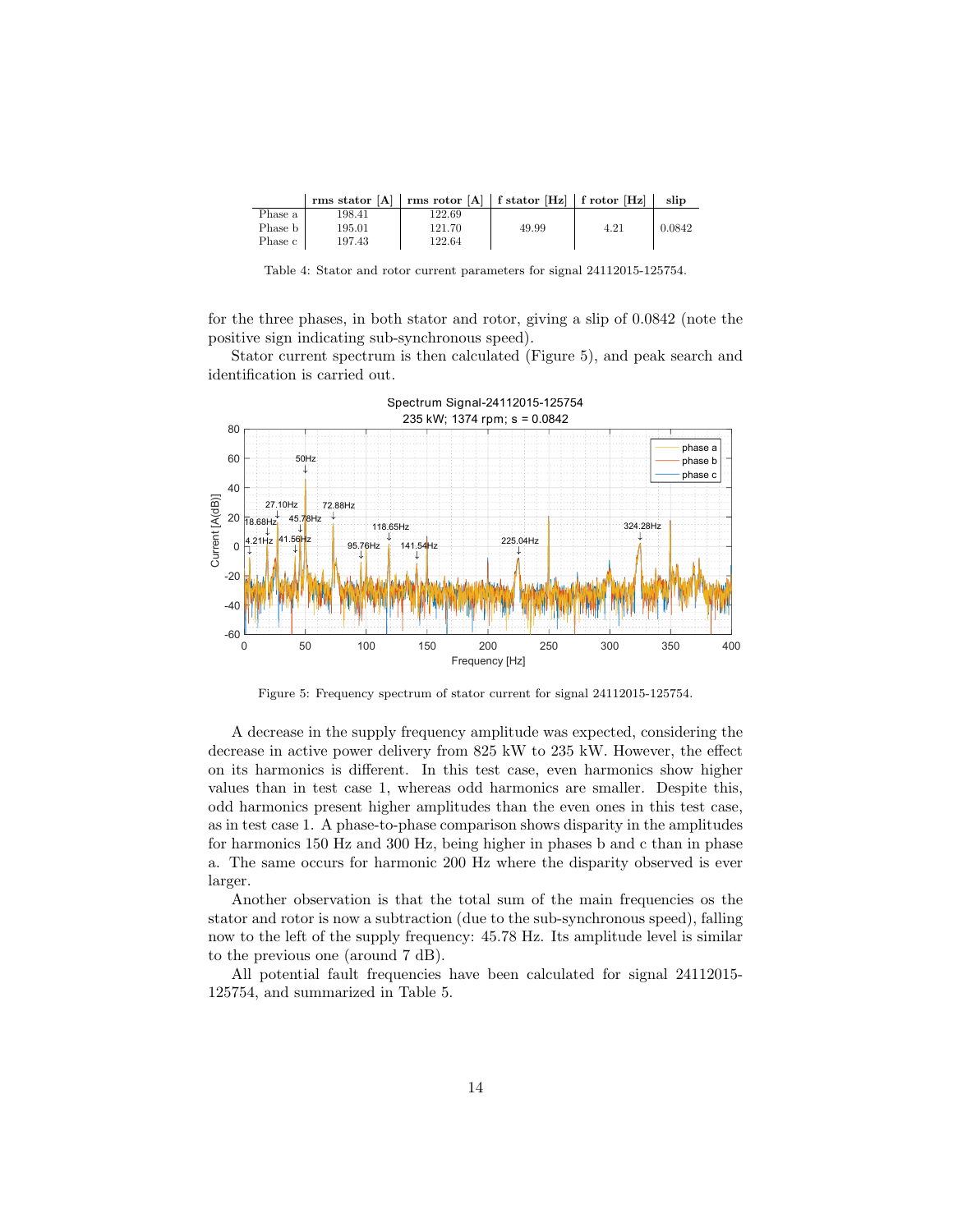|         | rms stator $[A]$   rms rotor $[A]$   f stator $[Hz]$   f rotor $[Hz]$ |        |       |      | slip   |
|---------|-----------------------------------------------------------------------|--------|-------|------|--------|
| Phase a | 198.41                                                                | 122.69 |       |      |        |
| Phase b | 195.01                                                                | 121.70 | 49.99 | 4.21 | 0.0842 |
| Phase c | 197.43                                                                | 122.64 |       |      |        |

Table 4: Stator and rotor current parameters for signal 24112015-125754.

for the three phases, in both stator and rotor, giving a slip of 0.0842 (note the positive sign indicating sub-synchronous speed).

Stator current spectrum is then calculated (Figure 5), and peak search and identification is carried out.



Figure 5: Frequency spectrum of stator current for signal 24112015-125754.

A decrease in the supply frequency amplitude was expected, considering the decrease in active power delivery from 825 kW to 235 kW. However, the effect on its harmonics is different. In this test case, even harmonics show higher values than in test case 1, whereas odd harmonics are smaller. Despite this, odd harmonics present higher amplitudes than the even ones in this test case, as in test case 1. A phase-to-phase comparison shows disparity in the amplitudes for harmonics 150 Hz and 300 Hz, being higher in phases b and c than in phase a. The same occurs for harmonic 200 Hz where the disparity observed is ever larger.

Another observation is that the total sum of the main frequencies os the stator and rotor is now a subtraction (due to the sub-synchronous speed), falling now to the left of the supply frequency: 45.78 Hz. Its amplitude level is similar to the previous one (around 7 dB).

All potential fault frequencies have been calculated for signal 24112015- 125754, and summarized in Table 5.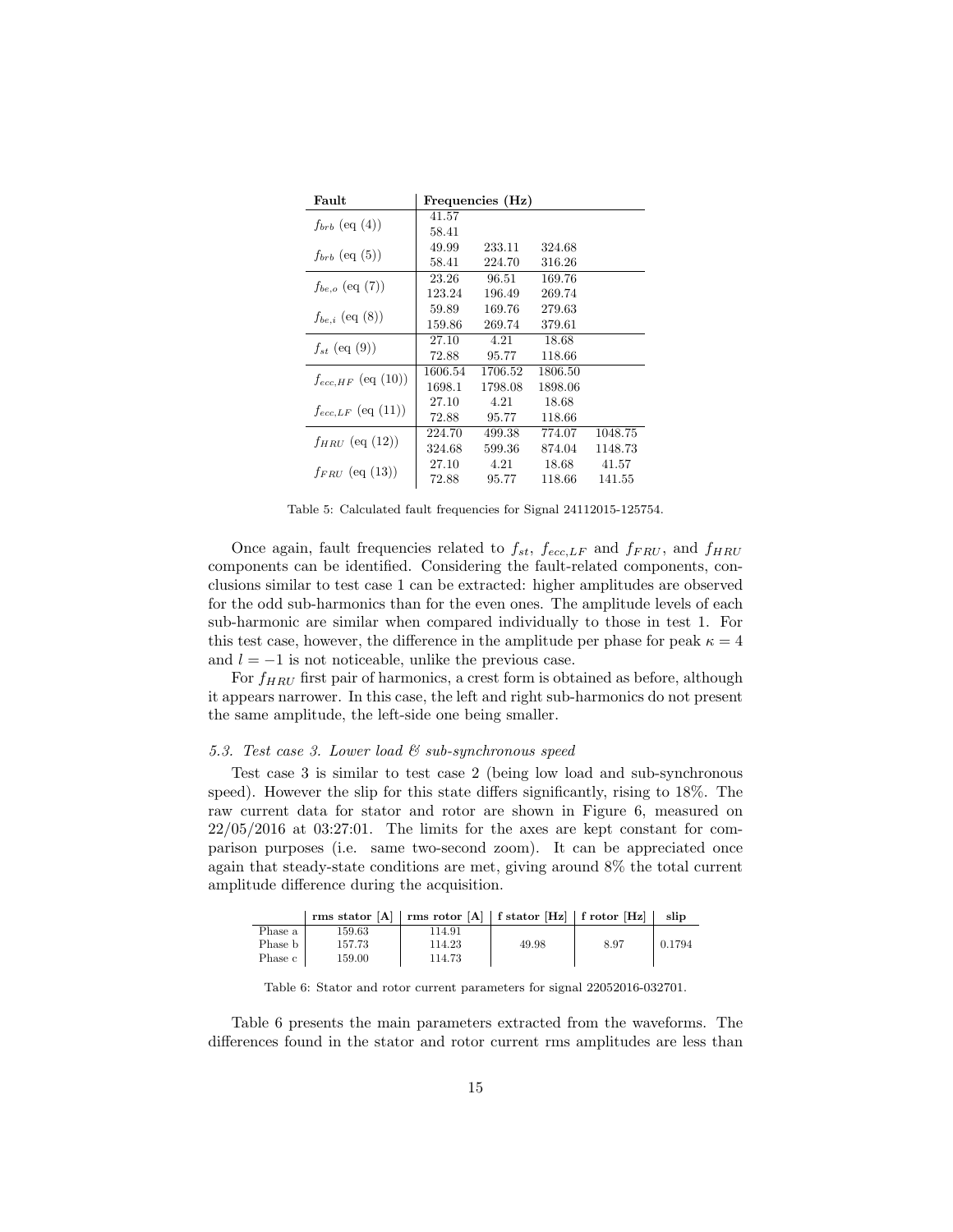| Fault                   |         | Frequencies (Hz) |         |         |
|-------------------------|---------|------------------|---------|---------|
| $f_{brb}$ (eq (4))      | 41.57   |                  |         |         |
|                         | 58.41   |                  |         |         |
| $f_{brb}$ (eq (5))      | 49.99   | 233.11           | 324.68  |         |
|                         | 58.41   | 224.70           | 316.26  |         |
|                         | 23.26   | 96.51            | 169.76  |         |
| $f_{be,o}$ (eq (7))     | 123.24  | 196.49           | 269.74  |         |
|                         | 59.89   | 169.76           | 279.63  |         |
| $f_{be,i}$ (eq (8))     | 159.86  | 269.74           | 379.61  |         |
|                         | 27.10   | 4.21             | 18.68   |         |
| $f_{st}$ (eq (9))       | 72.88   | 95.77            | 118.66  |         |
| $f_{ecc, HF}$ (eq (10)) | 1606.54 | 1706.52          | 1806.50 |         |
|                         | 1698.1  | 1798.08          | 1898.06 |         |
|                         | 27.10   | 4.21             | 18.68   |         |
| $f_{ecc,LF}$ (eq (11))  | 72.88   | 95.77            | 118.66  |         |
|                         | 224.70  | 499.38           | 774.07  | 1048.75 |
| $f_{HRU}$ (eq (12))     | 324.68  | 599.36           | 874.04  | 1148.73 |
|                         | 27.10   | 4.21             | 18.68   | 41.57   |
| $f_{FRU}$ (eq (13))     | 72.88   | 95.77            | 118.66  | 141.55  |

Table 5: Calculated fault frequencies for Signal 24112015-125754.

Once again, fault frequencies related to  $f_{st}$ ,  $f_{ecc,LF}$  and  $f_{FRU}$ , and  $f_{HRU}$ components can be identified. Considering the fault-related components, conclusions similar to test case 1 can be extracted: higher amplitudes are observed for the odd sub-harmonics than for the even ones. The amplitude levels of each sub-harmonic are similar when compared individually to those in test 1. For this test case, however, the difference in the amplitude per phase for peak  $\kappa = 4$ and  $l = -1$  is not noticeable, unlike the previous case.

For  $f_{HRU}$  first pair of harmonics, a crest form is obtained as before, although it appears narrower. In this case, the left and right sub-harmonics do not present the same amplitude, the left-side one being smaller.

## 5.3. Test case 3. Lower load  $\mathcal C$  sub-synchronous speed

Test case 3 is similar to test case 2 (being low load and sub-synchronous speed). However the slip for this state differs significantly, rising to 18%. The raw current data for stator and rotor are shown in Figure 6, measured on  $22/05/2016$  at 03:27:01. The limits for the axes are kept constant for comparison purposes (i.e. same two-second zoom). It can be appreciated once again that steady-state conditions are met, giving around 8% the total current amplitude difference during the acquisition.

|         | rms stator [A]   rms rotor [A]   f stator [Hz]   f rotor [Hz] |        |       |      | slip   |
|---------|---------------------------------------------------------------|--------|-------|------|--------|
| Phase a | 159.63                                                        | 114.91 |       |      |        |
| Phase b | 157.73                                                        | 114.23 | 49.98 | 8.97 | 0.1794 |
| Phase c | 159.00                                                        | 114.73 |       |      |        |

Table 6: Stator and rotor current parameters for signal 22052016-032701.

Table 6 presents the main parameters extracted from the waveforms. The differences found in the stator and rotor current rms amplitudes are less than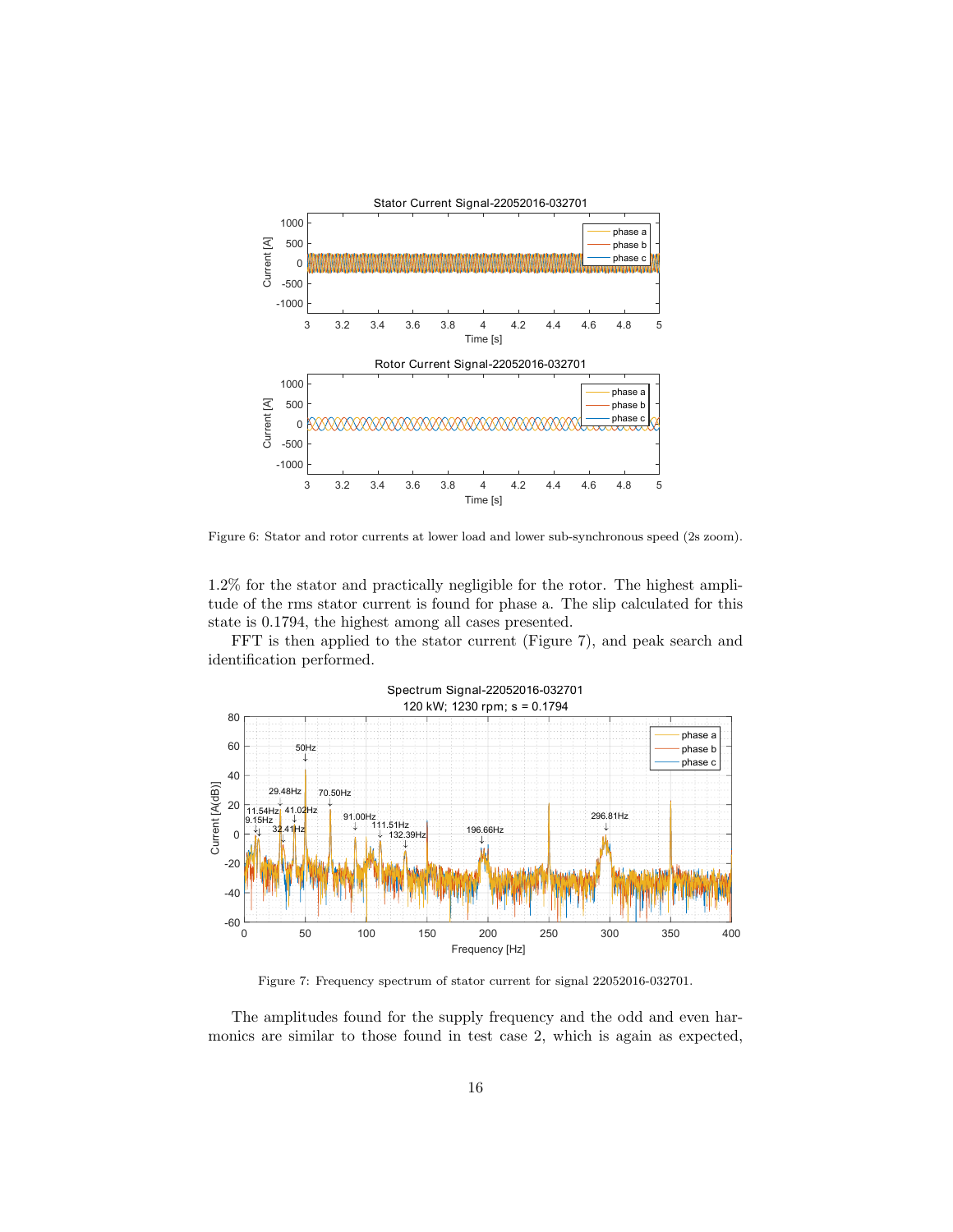

Figure 6: Stator and rotor currents at lower load and lower sub-synchronous speed (2s zoom).

1.2% for the stator and practically negligible for the rotor. The highest amplitude of the rms stator current is found for phase a. The slip calculated for this state is 0.1794, the highest among all cases presented.

FFT is then applied to the stator current (Figure 7), and peak search and identification performed.



Figure 7: Frequency spectrum of stator current for signal 22052016-032701.

The amplitudes found for the supply frequency and the odd and even harmonics are similar to those found in test case 2, which is again as expected,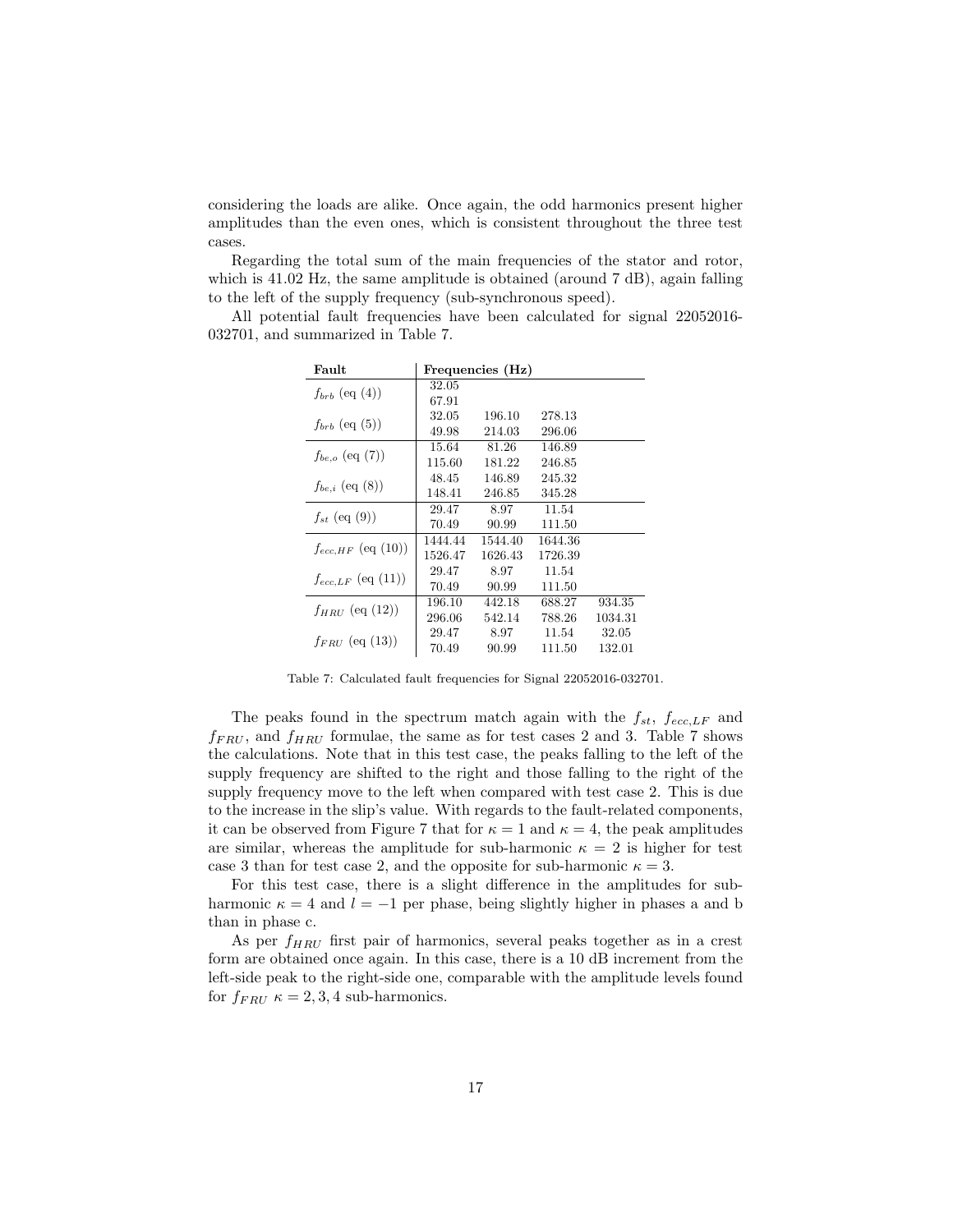considering the loads are alike. Once again, the odd harmonics present higher amplitudes than the even ones, which is consistent throughout the three test cases.

Regarding the total sum of the main frequencies of the stator and rotor, which is 41.02 Hz, the same amplitude is obtained (around 7 dB), again falling to the left of the supply frequency (sub-synchronous speed).

All potential fault frequencies have been calculated for signal 22052016- 032701, and summarized in Table 7.

| Fault                   |         | Frequencies (Hz) |         |         |
|-------------------------|---------|------------------|---------|---------|
|                         | 32.05   |                  |         |         |
| $f_{brb}$ (eq (4))      | 67.91   |                  |         |         |
|                         | 32.05   | 196.10           | 278.13  |         |
| $f_{brb}$ (eq. (5))     | 49.98   | 214.03           | 296.06  |         |
|                         | 15.64   | 81.26            | 146.89  |         |
| $f_{be,o}$ (eq (7))     | 115.60  | 181.22           | 246.85  |         |
|                         | 48.45   | 146.89           | 245.32  |         |
| $f_{be,i}$ (eq (8))     | 148.41  | 246.85           | 345.28  |         |
|                         | 29.47   | 8.97             | 11.54   |         |
| $f_{st}$ (eq. (9))      | 70.49   | 90.99            | 111.50  |         |
| $f_{ecc, HF}$ (eq (10)) | 1444.44 | 1544.40          | 1644.36 |         |
|                         | 1526.47 | 1626.43          | 1726.39 |         |
| $f_{ecc,LF}$ (eq (11))  | 29.47   | 8.97             | 11.54   |         |
|                         | 70.49   | 90.99            | 111.50  |         |
| $f_{HRU}$ (eq (12))     | 196.10  | 442.18           | 688.27  | 934.35  |
|                         | 296.06  | 542.14           | 788.26  | 1034.31 |
|                         | 29.47   | 8.97             | 11.54   | 32.05   |
| $f_{FRU}$ (eq (13))     | 70.49   | 90.99            | 111.50  | 132.01  |

Table 7: Calculated fault frequencies for Signal 22052016-032701.

The peaks found in the spectrum match again with the  $f_{st}$ ,  $f_{ecc,LF}$  and  $f_{FRU}$ , and  $f_{HRU}$  formulae, the same as for test cases 2 and 3. Table 7 shows the calculations. Note that in this test case, the peaks falling to the left of the supply frequency are shifted to the right and those falling to the right of the supply frequency move to the left when compared with test case 2. This is due to the increase in the slip's value. With regards to the fault-related components, it can be observed from Figure 7 that for  $\kappa = 1$  and  $\kappa = 4$ , the peak amplitudes are similar, whereas the amplitude for sub-harmonic  $\kappa = 2$  is higher for test case 3 than for test case 2, and the opposite for sub-harmonic  $\kappa = 3$ .

For this test case, there is a slight difference in the amplitudes for subharmonic  $\kappa = 4$  and  $l = -1$  per phase, being slightly higher in phases a and b than in phase c.

As per  $f_{HRU}$  first pair of harmonics, several peaks together as in a crest form are obtained once again. In this case, there is a 10 dB increment from the left-side peak to the right-side one, comparable with the amplitude levels found for  $f_{FRU} \kappa = 2, 3, 4$  sub-harmonics.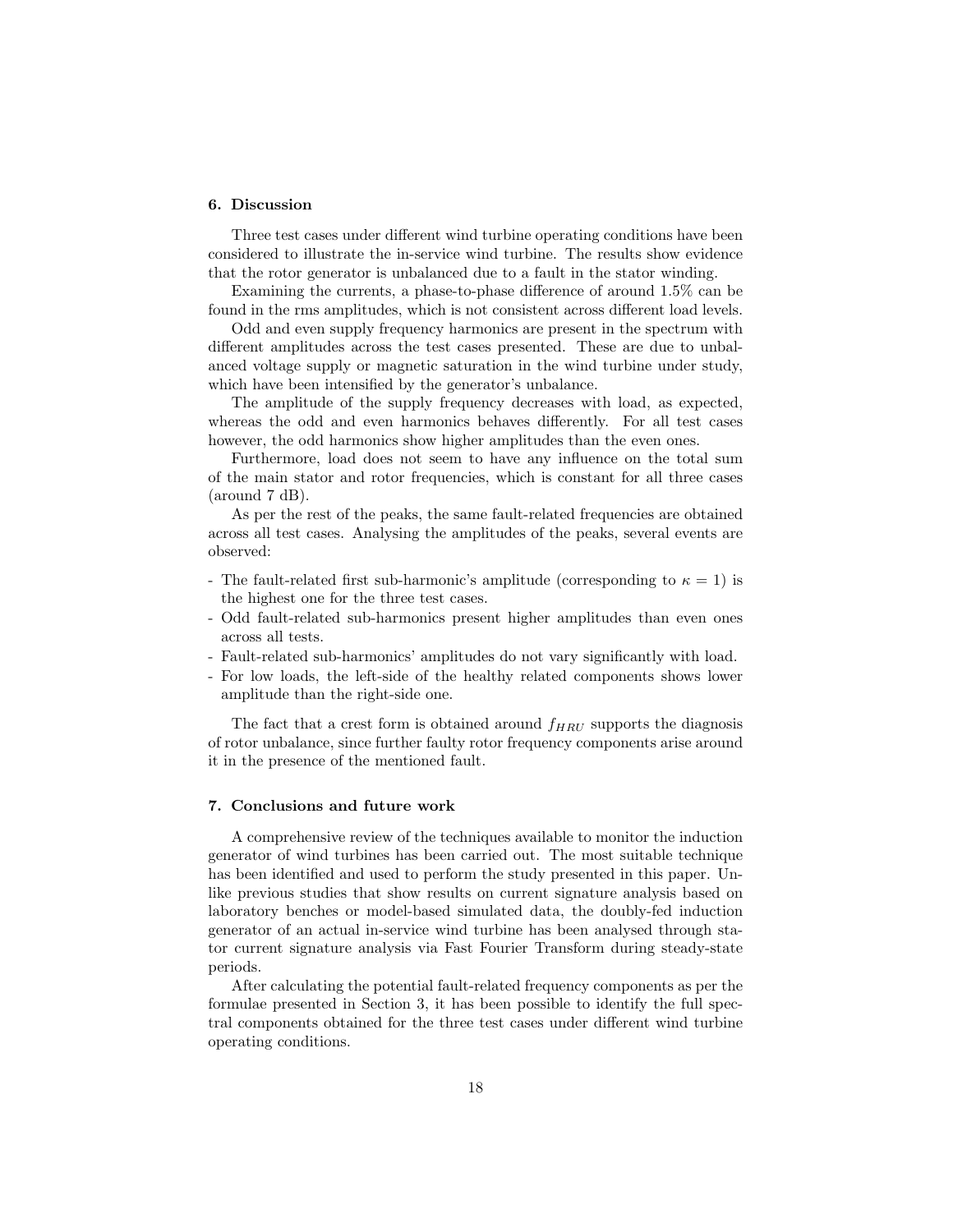# 6. Discussion

Three test cases under different wind turbine operating conditions have been considered to illustrate the in-service wind turbine. The results show evidence that the rotor generator is unbalanced due to a fault in the stator winding.

Examining the currents, a phase-to-phase difference of around 1.5% can be found in the rms amplitudes, which is not consistent across different load levels.

Odd and even supply frequency harmonics are present in the spectrum with different amplitudes across the test cases presented. These are due to unbalanced voltage supply or magnetic saturation in the wind turbine under study, which have been intensified by the generator's unbalance.

The amplitude of the supply frequency decreases with load, as expected, whereas the odd and even harmonics behaves differently. For all test cases however, the odd harmonics show higher amplitudes than the even ones.

Furthermore, load does not seem to have any influence on the total sum of the main stator and rotor frequencies, which is constant for all three cases (around 7 dB).

As per the rest of the peaks, the same fault-related frequencies are obtained across all test cases. Analysing the amplitudes of the peaks, several events are observed:

- The fault-related first sub-harmonic's amplitude (corresponding to  $\kappa = 1$ ) is the highest one for the three test cases.
- Odd fault-related sub-harmonics present higher amplitudes than even ones across all tests.
- Fault-related sub-harmonics' amplitudes do not vary significantly with load.
- For low loads, the left-side of the healthy related components shows lower amplitude than the right-side one.

The fact that a crest form is obtained around  $f_{HRU}$  supports the diagnosis of rotor unbalance, since further faulty rotor frequency components arise around it in the presence of the mentioned fault.

## 7. Conclusions and future work

A comprehensive review of the techniques available to monitor the induction generator of wind turbines has been carried out. The most suitable technique has been identified and used to perform the study presented in this paper. Unlike previous studies that show results on current signature analysis based on laboratory benches or model-based simulated data, the doubly-fed induction generator of an actual in-service wind turbine has been analysed through stator current signature analysis via Fast Fourier Transform during steady-state periods.

After calculating the potential fault-related frequency components as per the formulae presented in Section 3, it has been possible to identify the full spectral components obtained for the three test cases under different wind turbine operating conditions.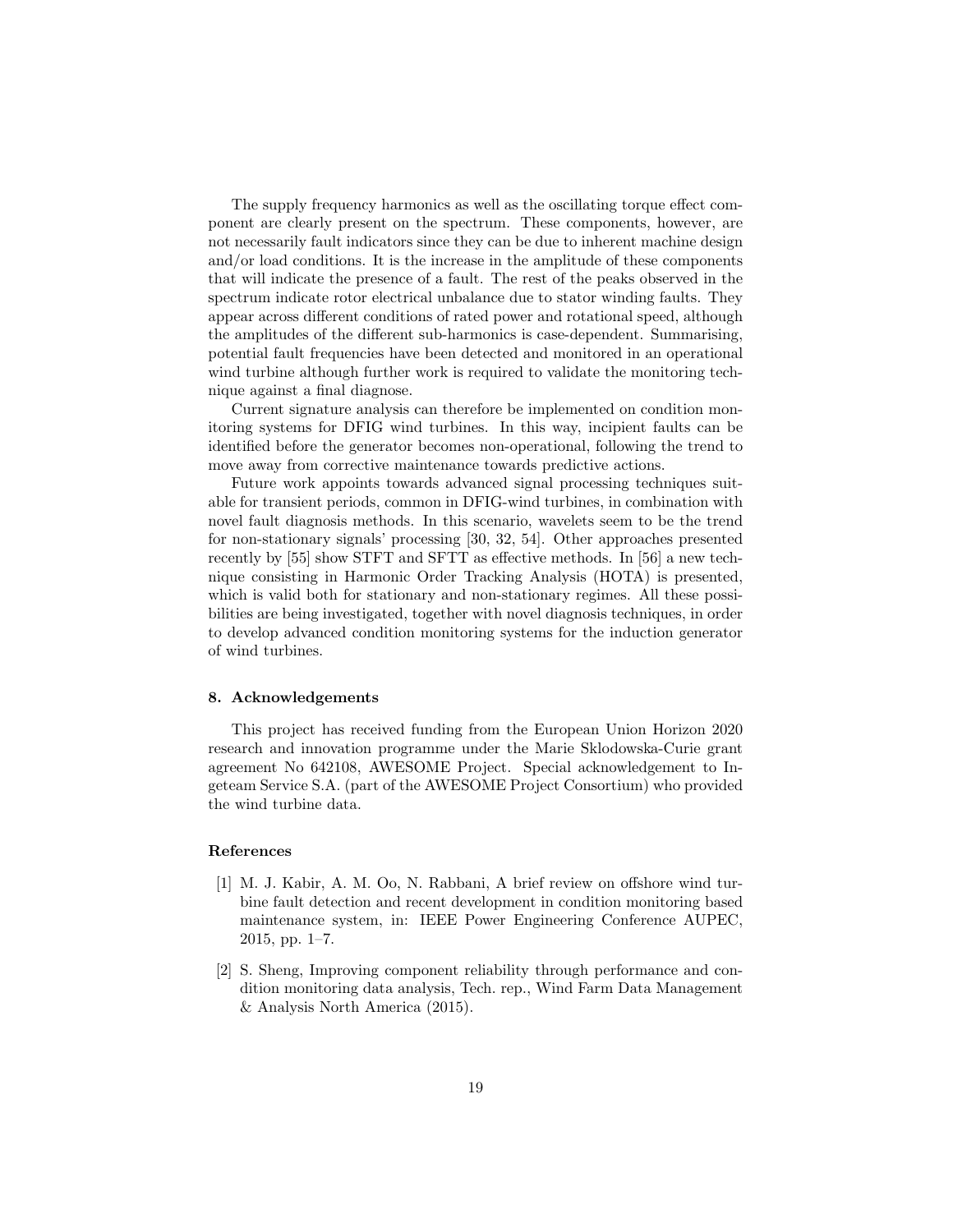The supply frequency harmonics as well as the oscillating torque effect component are clearly present on the spectrum. These components, however, are not necessarily fault indicators since they can be due to inherent machine design and/or load conditions. It is the increase in the amplitude of these components that will indicate the presence of a fault. The rest of the peaks observed in the spectrum indicate rotor electrical unbalance due to stator winding faults. They appear across different conditions of rated power and rotational speed, although the amplitudes of the different sub-harmonics is case-dependent. Summarising, potential fault frequencies have been detected and monitored in an operational wind turbine although further work is required to validate the monitoring technique against a final diagnose.

Current signature analysis can therefore be implemented on condition monitoring systems for DFIG wind turbines. In this way, incipient faults can be identified before the generator becomes non-operational, following the trend to move away from corrective maintenance towards predictive actions.

Future work appoints towards advanced signal processing techniques suitable for transient periods, common in DFIG-wind turbines, in combination with novel fault diagnosis methods. In this scenario, wavelets seem to be the trend for non-stationary signals' processing [30, 32, 54]. Other approaches presented recently by [55] show STFT and SFTT as effective methods. In [56] a new technique consisting in Harmonic Order Tracking Analysis (HOTA) is presented, which is valid both for stationary and non-stationary regimes. All these possibilities are being investigated, together with novel diagnosis techniques, in order to develop advanced condition monitoring systems for the induction generator of wind turbines.

#### 8. Acknowledgements

This project has received funding from the European Union Horizon 2020 research and innovation programme under the Marie Sklodowska-Curie grant agreement No 642108, AWESOME Project. Special acknowledgement to Ingeteam Service S.A. (part of the AWESOME Project Consortium) who provided the wind turbine data.

## References

- [1] M. J. Kabir, A. M. Oo, N. Rabbani, A brief review on offshore wind turbine fault detection and recent development in condition monitoring based maintenance system, in: IEEE Power Engineering Conference AUPEC, 2015, pp. 1–7.
- [2] S. Sheng, Improving component reliability through performance and condition monitoring data analysis, Tech. rep., Wind Farm Data Management & Analysis North America (2015).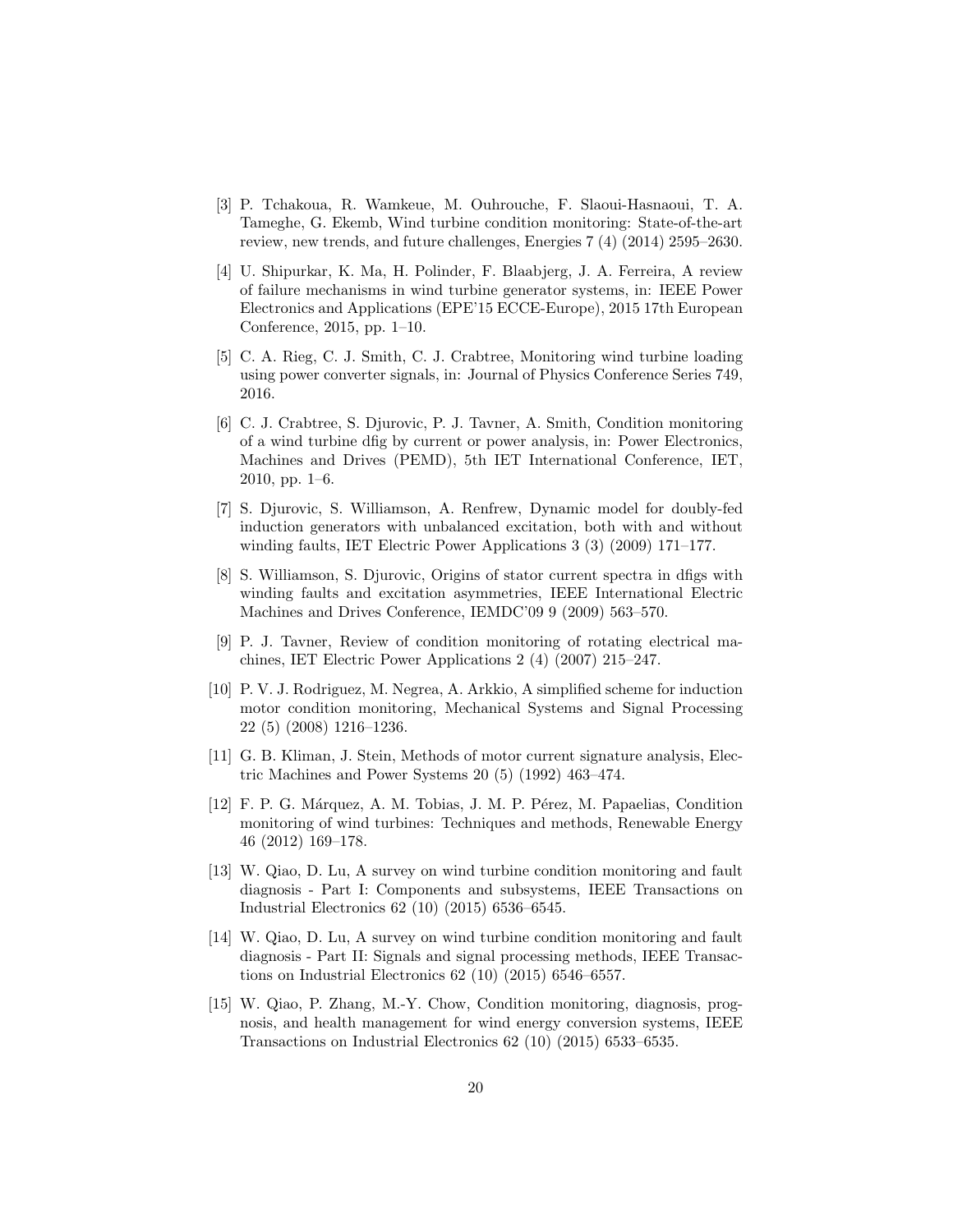- [3] P. Tchakoua, R. Wamkeue, M. Ouhrouche, F. Slaoui-Hasnaoui, T. A. Tameghe, G. Ekemb, Wind turbine condition monitoring: State-of-the-art review, new trends, and future challenges, Energies 7 (4) (2014) 2595–2630.
- [4] U. Shipurkar, K. Ma, H. Polinder, F. Blaabjerg, J. A. Ferreira, A review of failure mechanisms in wind turbine generator systems, in: IEEE Power Electronics and Applications (EPE'15 ECCE-Europe), 2015 17th European Conference, 2015, pp. 1–10.
- [5] C. A. Rieg, C. J. Smith, C. J. Crabtree, Monitoring wind turbine loading using power converter signals, in: Journal of Physics Conference Series 749, 2016.
- [6] C. J. Crabtree, S. Djurovic, P. J. Tavner, A. Smith, Condition monitoring of a wind turbine dfig by current or power analysis, in: Power Electronics, Machines and Drives (PEMD), 5th IET International Conference, IET, 2010, pp. 1–6.
- [7] S. Djurovic, S. Williamson, A. Renfrew, Dynamic model for doubly-fed induction generators with unbalanced excitation, both with and without winding faults, IET Electric Power Applications 3 (3) (2009) 171–177.
- [8] S. Williamson, S. Djurovic, Origins of stator current spectra in dfigs with winding faults and excitation asymmetries, IEEE International Electric Machines and Drives Conference, IEMDC'09 9 (2009) 563–570.
- [9] P. J. Tavner, Review of condition monitoring of rotating electrical machines, IET Electric Power Applications 2 (4) (2007) 215–247.
- [10] P. V. J. Rodriguez, M. Negrea, A. Arkkio, A simplified scheme for induction motor condition monitoring, Mechanical Systems and Signal Processing 22 (5) (2008) 1216–1236.
- [11] G. B. Kliman, J. Stein, Methods of motor current signature analysis, Electric Machines and Power Systems 20 (5) (1992) 463–474.
- [12] F. P. G. Márquez, A. M. Tobias, J. M. P. Pérez, M. Papaelias, Condition monitoring of wind turbines: Techniques and methods, Renewable Energy 46 (2012) 169–178.
- [13] W. Qiao, D. Lu, A survey on wind turbine condition monitoring and fault diagnosis - Part I: Components and subsystems, IEEE Transactions on Industrial Electronics 62 (10) (2015) 6536–6545.
- [14] W. Qiao, D. Lu, A survey on wind turbine condition monitoring and fault diagnosis - Part II: Signals and signal processing methods, IEEE Transactions on Industrial Electronics 62 (10) (2015) 6546–6557.
- [15] W. Qiao, P. Zhang, M.-Y. Chow, Condition monitoring, diagnosis, prognosis, and health management for wind energy conversion systems, IEEE Transactions on Industrial Electronics 62 (10) (2015) 6533–6535.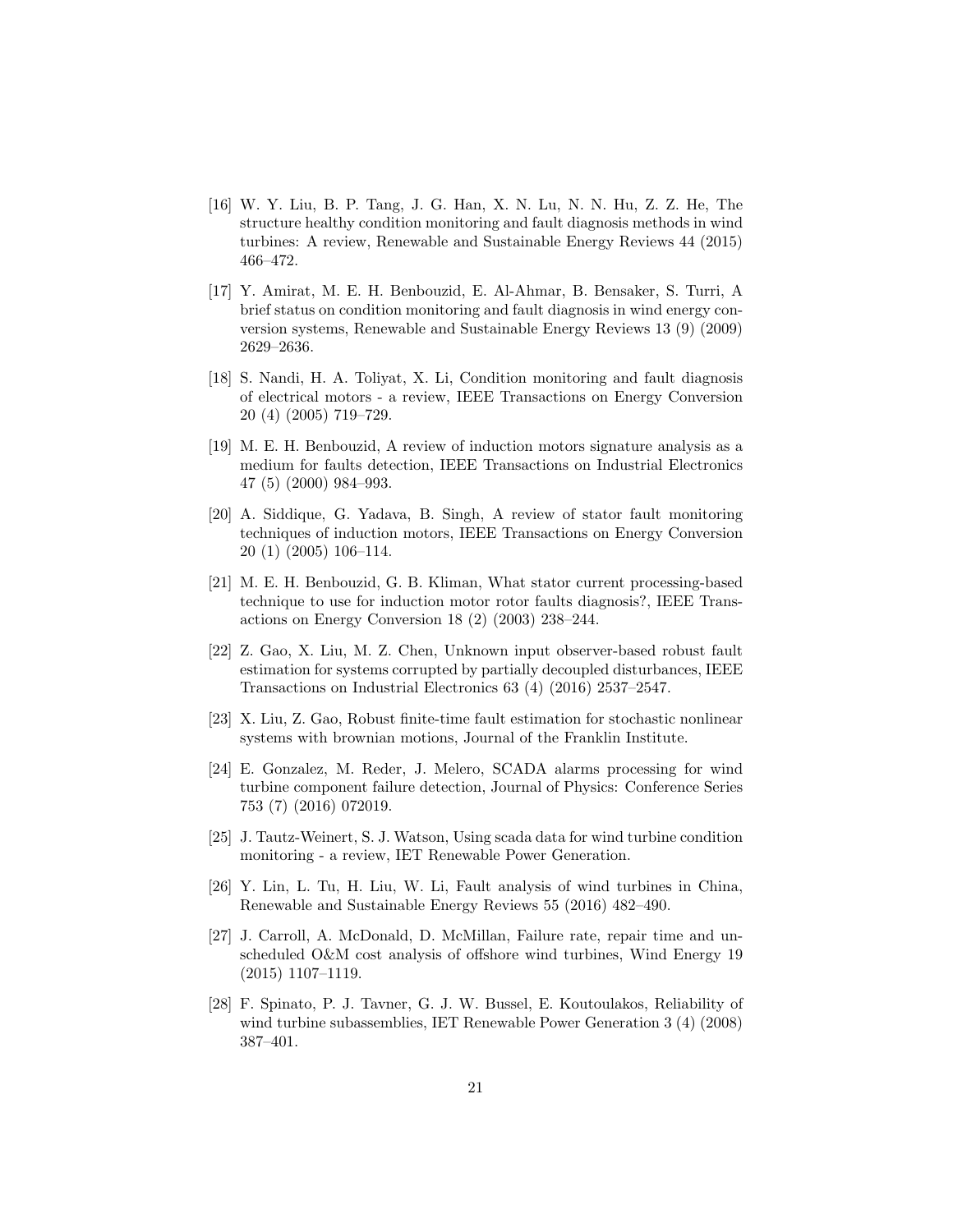- [16] W. Y. Liu, B. P. Tang, J. G. Han, X. N. Lu, N. N. Hu, Z. Z. He, The structure healthy condition monitoring and fault diagnosis methods in wind turbines: A review, Renewable and Sustainable Energy Reviews 44 (2015) 466–472.
- [17] Y. Amirat, M. E. H. Benbouzid, E. Al-Ahmar, B. Bensaker, S. Turri, A brief status on condition monitoring and fault diagnosis in wind energy conversion systems, Renewable and Sustainable Energy Reviews 13 (9) (2009) 2629–2636.
- [18] S. Nandi, H. A. Toliyat, X. Li, Condition monitoring and fault diagnosis of electrical motors - a review, IEEE Transactions on Energy Conversion 20 (4) (2005) 719–729.
- [19] M. E. H. Benbouzid, A review of induction motors signature analysis as a medium for faults detection, IEEE Transactions on Industrial Electronics 47 (5) (2000) 984–993.
- [20] A. Siddique, G. Yadava, B. Singh, A review of stator fault monitoring techniques of induction motors, IEEE Transactions on Energy Conversion 20 (1) (2005) 106–114.
- [21] M. E. H. Benbouzid, G. B. Kliman, What stator current processing-based technique to use for induction motor rotor faults diagnosis?, IEEE Transactions on Energy Conversion 18 (2) (2003) 238–244.
- [22] Z. Gao, X. Liu, M. Z. Chen, Unknown input observer-based robust fault estimation for systems corrupted by partially decoupled disturbances, IEEE Transactions on Industrial Electronics 63 (4) (2016) 2537–2547.
- [23] X. Liu, Z. Gao, Robust finite-time fault estimation for stochastic nonlinear systems with brownian motions, Journal of the Franklin Institute.
- [24] E. Gonzalez, M. Reder, J. Melero, SCADA alarms processing for wind turbine component failure detection, Journal of Physics: Conference Series 753 (7) (2016) 072019.
- [25] J. Tautz-Weinert, S. J. Watson, Using scada data for wind turbine condition monitoring - a review, IET Renewable Power Generation.
- [26] Y. Lin, L. Tu, H. Liu, W. Li, Fault analysis of wind turbines in China, Renewable and Sustainable Energy Reviews 55 (2016) 482–490.
- [27] J. Carroll, A. McDonald, D. McMillan, Failure rate, repair time and unscheduled O&M cost analysis of offshore wind turbines, Wind Energy 19 (2015) 1107–1119.
- [28] F. Spinato, P. J. Tavner, G. J. W. Bussel, E. Koutoulakos, Reliability of wind turbine subassemblies, IET Renewable Power Generation 3 (4) (2008) 387–401.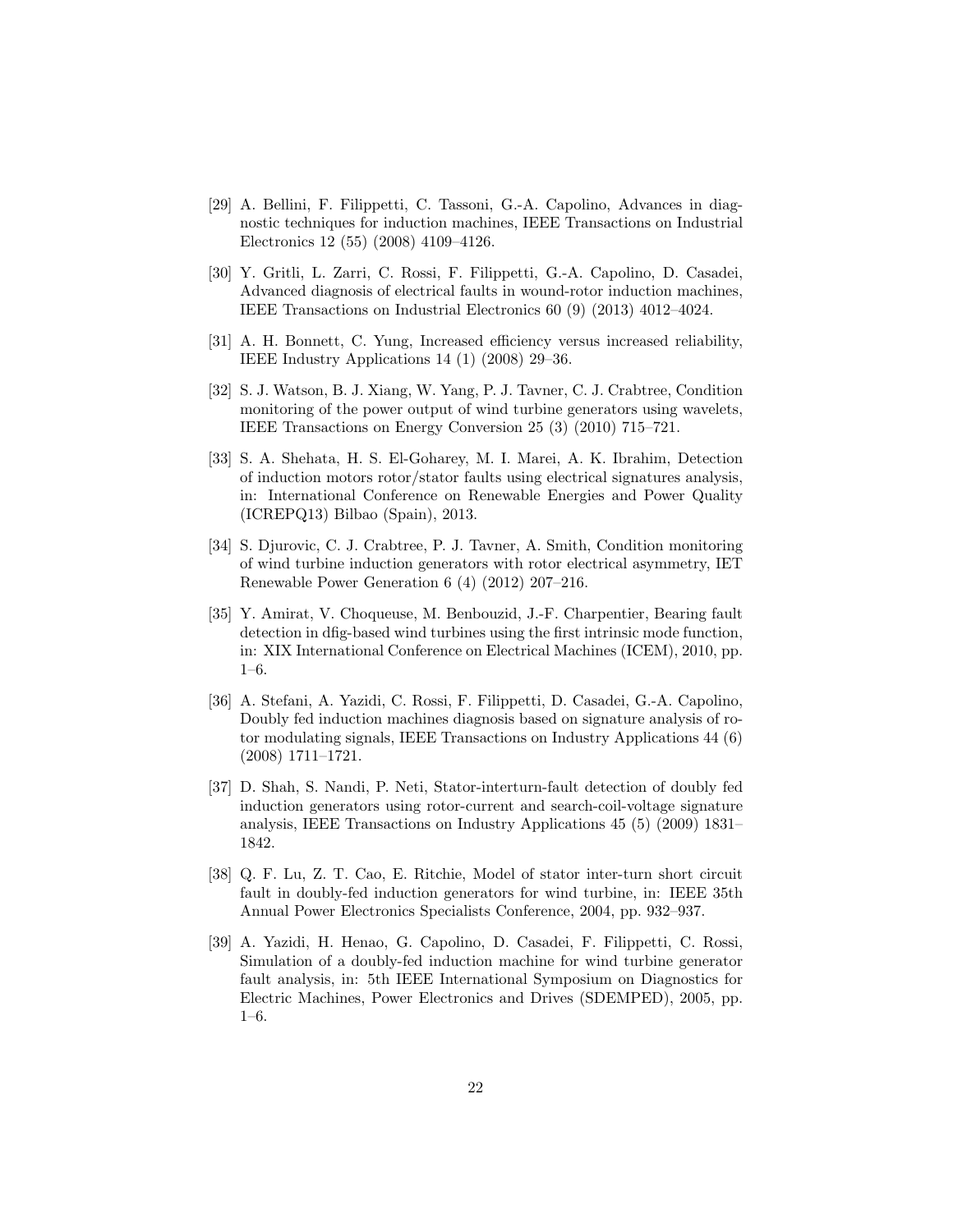- [29] A. Bellini, F. Filippetti, C. Tassoni, G.-A. Capolino, Advances in diagnostic techniques for induction machines, IEEE Transactions on Industrial Electronics 12 (55) (2008) 4109–4126.
- [30] Y. Gritli, L. Zarri, C. Rossi, F. Filippetti, G.-A. Capolino, D. Casadei, Advanced diagnosis of electrical faults in wound-rotor induction machines, IEEE Transactions on Industrial Electronics 60 (9) (2013) 4012–4024.
- [31] A. H. Bonnett, C. Yung, Increased efficiency versus increased reliability, IEEE Industry Applications 14 (1) (2008) 29–36.
- [32] S. J. Watson, B. J. Xiang, W. Yang, P. J. Tavner, C. J. Crabtree, Condition monitoring of the power output of wind turbine generators using wavelets, IEEE Transactions on Energy Conversion 25 (3) (2010) 715–721.
- [33] S. A. Shehata, H. S. El-Goharey, M. I. Marei, A. K. Ibrahim, Detection of induction motors rotor/stator faults using electrical signatures analysis, in: International Conference on Renewable Energies and Power Quality (ICREPQ13) Bilbao (Spain), 2013.
- [34] S. Djurovic, C. J. Crabtree, P. J. Tavner, A. Smith, Condition monitoring of wind turbine induction generators with rotor electrical asymmetry, IET Renewable Power Generation 6 (4) (2012) 207–216.
- [35] Y. Amirat, V. Choqueuse, M. Benbouzid, J.-F. Charpentier, Bearing fault detection in dfig-based wind turbines using the first intrinsic mode function, in: XIX International Conference on Electrical Machines (ICEM), 2010, pp. 1–6.
- [36] A. Stefani, A. Yazidi, C. Rossi, F. Filippetti, D. Casadei, G.-A. Capolino, Doubly fed induction machines diagnosis based on signature analysis of rotor modulating signals, IEEE Transactions on Industry Applications 44 (6) (2008) 1711–1721.
- [37] D. Shah, S. Nandi, P. Neti, Stator-interturn-fault detection of doubly fed induction generators using rotor-current and search-coil-voltage signature analysis, IEEE Transactions on Industry Applications 45 (5) (2009) 1831– 1842.
- [38] Q. F. Lu, Z. T. Cao, E. Ritchie, Model of stator inter-turn short circuit fault in doubly-fed induction generators for wind turbine, in: IEEE 35th Annual Power Electronics Specialists Conference, 2004, pp. 932–937.
- [39] A. Yazidi, H. Henao, G. Capolino, D. Casadei, F. Filippetti, C. Rossi, Simulation of a doubly-fed induction machine for wind turbine generator fault analysis, in: 5th IEEE International Symposium on Diagnostics for Electric Machines, Power Electronics and Drives (SDEMPED), 2005, pp. 1–6.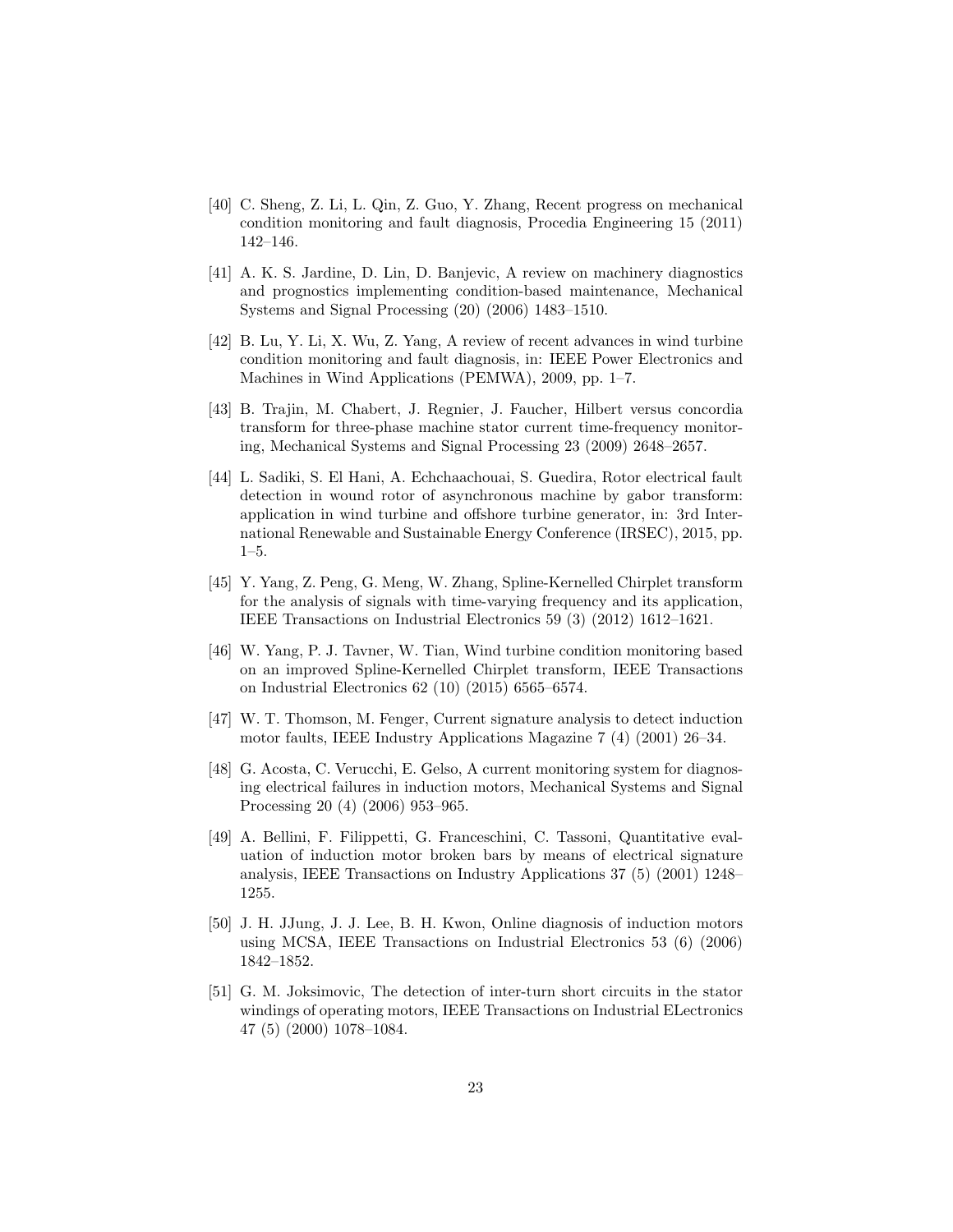- [40] C. Sheng, Z. Li, L. Qin, Z. Guo, Y. Zhang, Recent progress on mechanical condition monitoring and fault diagnosis, Procedia Engineering 15 (2011) 142–146.
- [41] A. K. S. Jardine, D. Lin, D. Banjevic, A review on machinery diagnostics and prognostics implementing condition-based maintenance, Mechanical Systems and Signal Processing (20) (2006) 1483–1510.
- [42] B. Lu, Y. Li, X. Wu, Z. Yang, A review of recent advances in wind turbine condition monitoring and fault diagnosis, in: IEEE Power Electronics and Machines in Wind Applications (PEMWA), 2009, pp. 1–7.
- [43] B. Trajin, M. Chabert, J. Regnier, J. Faucher, Hilbert versus concordia transform for three-phase machine stator current time-frequency monitoring, Mechanical Systems and Signal Processing 23 (2009) 2648–2657.
- [44] L. Sadiki, S. El Hani, A. Echchaachouai, S. Guedira, Rotor electrical fault detection in wound rotor of asynchronous machine by gabor transform: application in wind turbine and offshore turbine generator, in: 3rd International Renewable and Sustainable Energy Conference (IRSEC), 2015, pp. 1–5.
- [45] Y. Yang, Z. Peng, G. Meng, W. Zhang, Spline-Kernelled Chirplet transform for the analysis of signals with time-varying frequency and its application, IEEE Transactions on Industrial Electronics 59 (3) (2012) 1612–1621.
- [46] W. Yang, P. J. Tavner, W. Tian, Wind turbine condition monitoring based on an improved Spline-Kernelled Chirplet transform, IEEE Transactions on Industrial Electronics 62 (10) (2015) 6565–6574.
- [47] W. T. Thomson, M. Fenger, Current signature analysis to detect induction motor faults, IEEE Industry Applications Magazine 7 (4) (2001) 26–34.
- [48] G. Acosta, C. Verucchi, E. Gelso, A current monitoring system for diagnosing electrical failures in induction motors, Mechanical Systems and Signal Processing 20 (4) (2006) 953–965.
- [49] A. Bellini, F. Filippetti, G. Franceschini, C. Tassoni, Quantitative evaluation of induction motor broken bars by means of electrical signature analysis, IEEE Transactions on Industry Applications 37 (5) (2001) 1248– 1255.
- [50] J. H. JJung, J. J. Lee, B. H. Kwon, Online diagnosis of induction motors using MCSA, IEEE Transactions on Industrial Electronics 53 (6) (2006) 1842–1852.
- [51] G. M. Joksimovic, The detection of inter-turn short circuits in the stator windings of operating motors, IEEE Transactions on Industrial ELectronics 47 (5) (2000) 1078–1084.